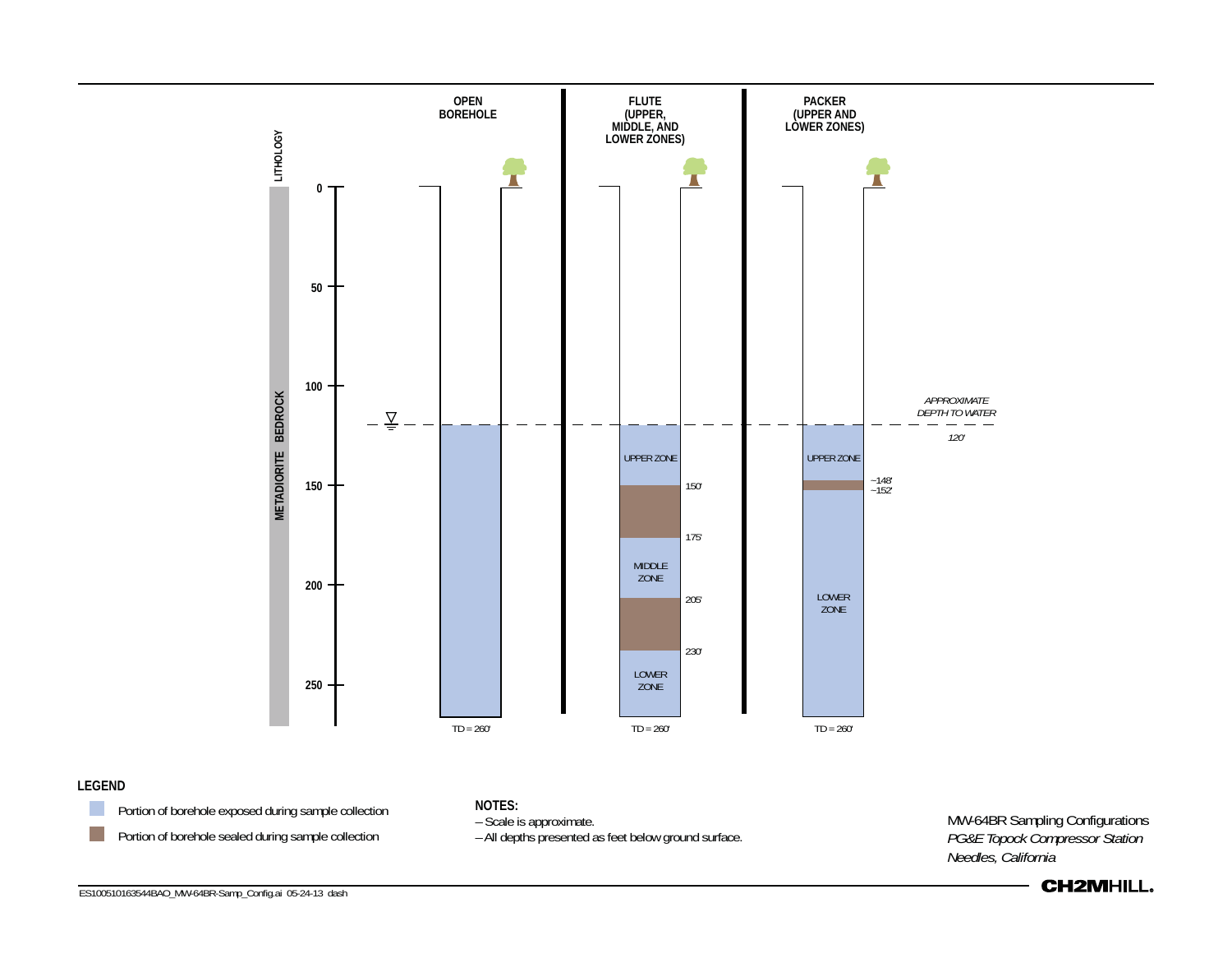

#### **LEGEND**



**Portion of borehole exposed during sample collection Portion of borehole sealed during sample collection** 

**NOTES:**

– Scale is approximate.

– All depths presented as feet below ground surface.

MW-64BR Sampling Configurations *PG&E Topock Compressor Station Needles, California*



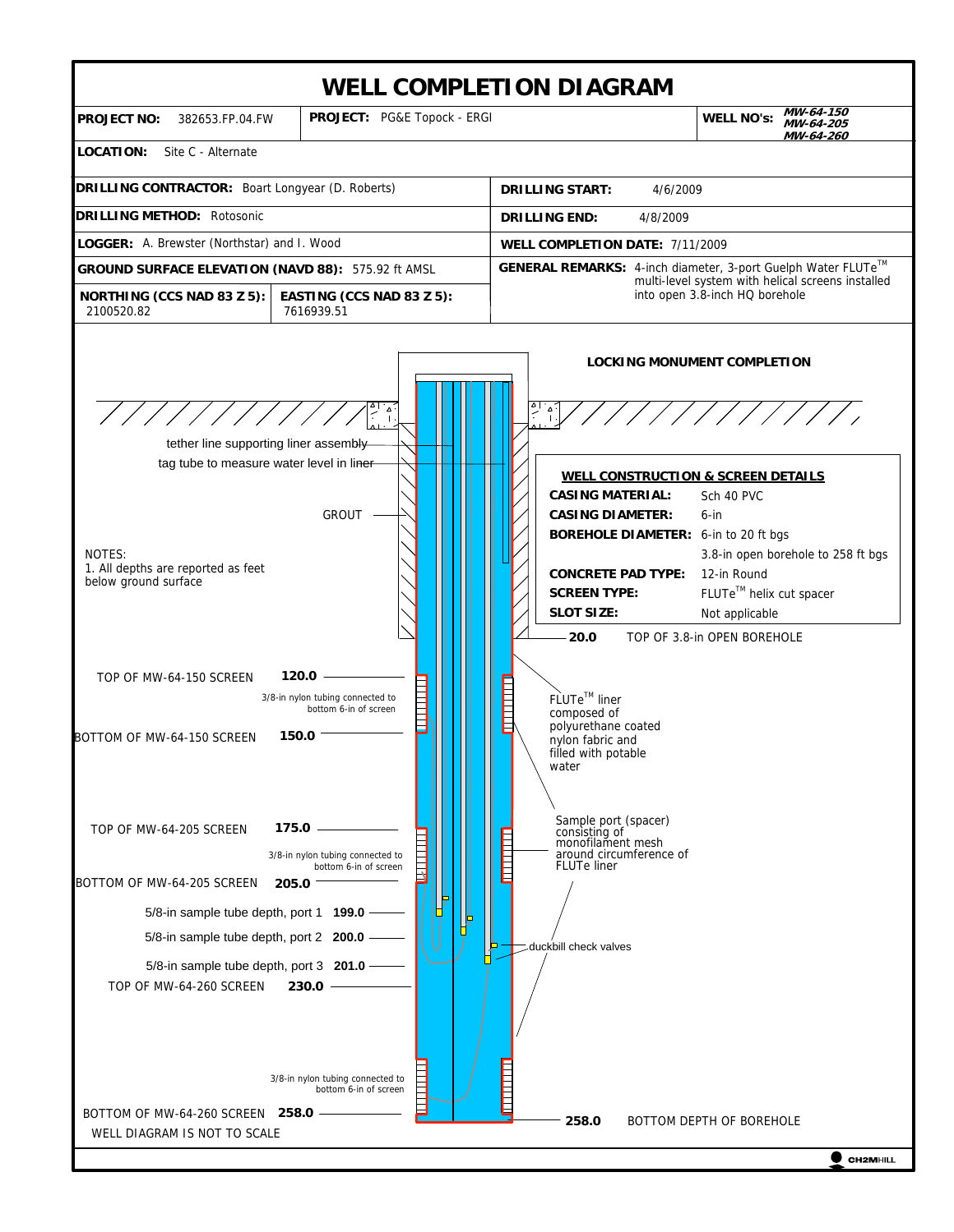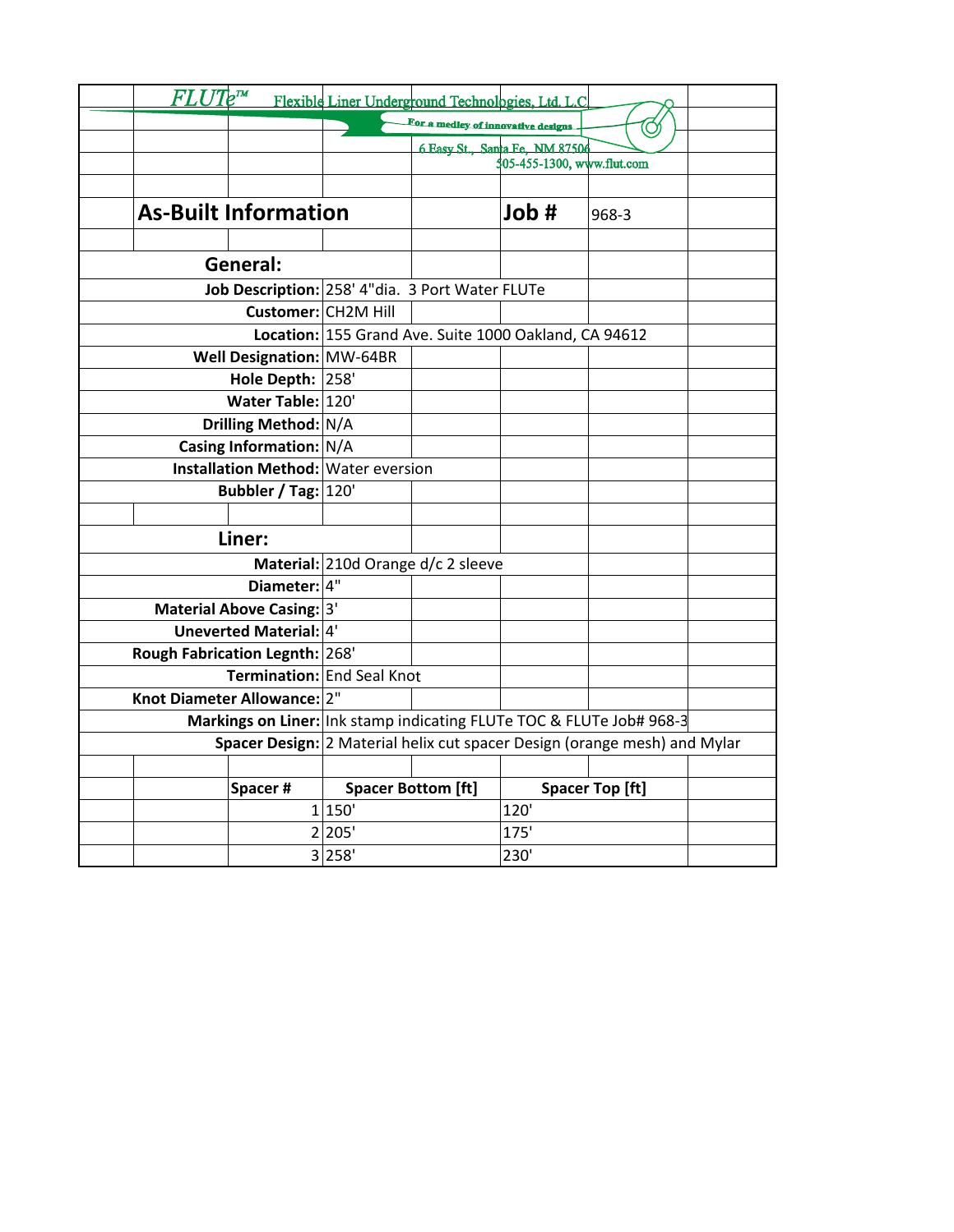| $FLUIe^m$                                                                 | Flexible Liner Underground Technologies, Ltd. L.C     |                                    |                            |                        |  |  |
|---------------------------------------------------------------------------|-------------------------------------------------------|------------------------------------|----------------------------|------------------------|--|--|
|                                                                           |                                                       | For a medley of innovative designs |                            |                        |  |  |
|                                                                           |                                                       | 6 Easy St., Santa Fe, NM 87506     |                            |                        |  |  |
|                                                                           |                                                       |                                    | 505-455-1300, www.flut.com |                        |  |  |
|                                                                           |                                                       |                                    |                            |                        |  |  |
| <b>As-Built Information</b>                                               |                                                       |                                    | Job #                      | 968-3                  |  |  |
|                                                                           |                                                       |                                    |                            |                        |  |  |
| General:                                                                  |                                                       |                                    |                            |                        |  |  |
| Job Description: 258' 4"dia. 3 Port Water FLUTe                           |                                                       |                                    |                            |                        |  |  |
|                                                                           | Customer: CH2M Hill                                   |                                    |                            |                        |  |  |
|                                                                           | Location: 155 Grand Ave. Suite 1000 Oakland, CA 94612 |                                    |                            |                        |  |  |
| Well Designation: MW-64BR                                                 |                                                       |                                    |                            |                        |  |  |
| Hole Depth: 258'                                                          |                                                       |                                    |                            |                        |  |  |
| Water Table: 120'                                                         |                                                       |                                    |                            |                        |  |  |
| Drilling Method: N/A                                                      |                                                       |                                    |                            |                        |  |  |
| Casing Information: N/A                                                   |                                                       |                                    |                            |                        |  |  |
| <b>Installation Method: Water eversion</b>                                |                                                       |                                    |                            |                        |  |  |
| Bubbler / Tag: 120'                                                       |                                                       |                                    |                            |                        |  |  |
|                                                                           |                                                       |                                    |                            |                        |  |  |
| Liner:                                                                    |                                                       |                                    |                            |                        |  |  |
|                                                                           | Material: 210d Orange d/c 2 sleeve                    |                                    |                            |                        |  |  |
| Diameter: 4"                                                              |                                                       |                                    |                            |                        |  |  |
| Material Above Casing: 3'                                                 |                                                       |                                    |                            |                        |  |  |
| Uneverted Material: 4'                                                    |                                                       |                                    |                            |                        |  |  |
| Rough Fabrication Legnth: 268'                                            |                                                       |                                    |                            |                        |  |  |
| Termination: End Seal Knot                                                |                                                       |                                    |                            |                        |  |  |
| Knot Diameter Allowance: 2"                                               |                                                       |                                    |                            |                        |  |  |
| Markings on Liner: Ink stamp indicating FLUTe TOC & FLUTe Job# 968-3      |                                                       |                                    |                            |                        |  |  |
| Spacer Design: 2 Material helix cut spacer Design (orange mesh) and Mylar |                                                       |                                    |                            |                        |  |  |
|                                                                           |                                                       |                                    |                            |                        |  |  |
| Spacer#                                                                   |                                                       | <b>Spacer Bottom [ft]</b>          |                            | <b>Spacer Top [ft]</b> |  |  |
|                                                                           | 1 150'                                                |                                    | 120'                       |                        |  |  |
|                                                                           | 2 205'                                                |                                    | 175'                       |                        |  |  |
|                                                                           | 3 258'                                                |                                    | 230'                       |                        |  |  |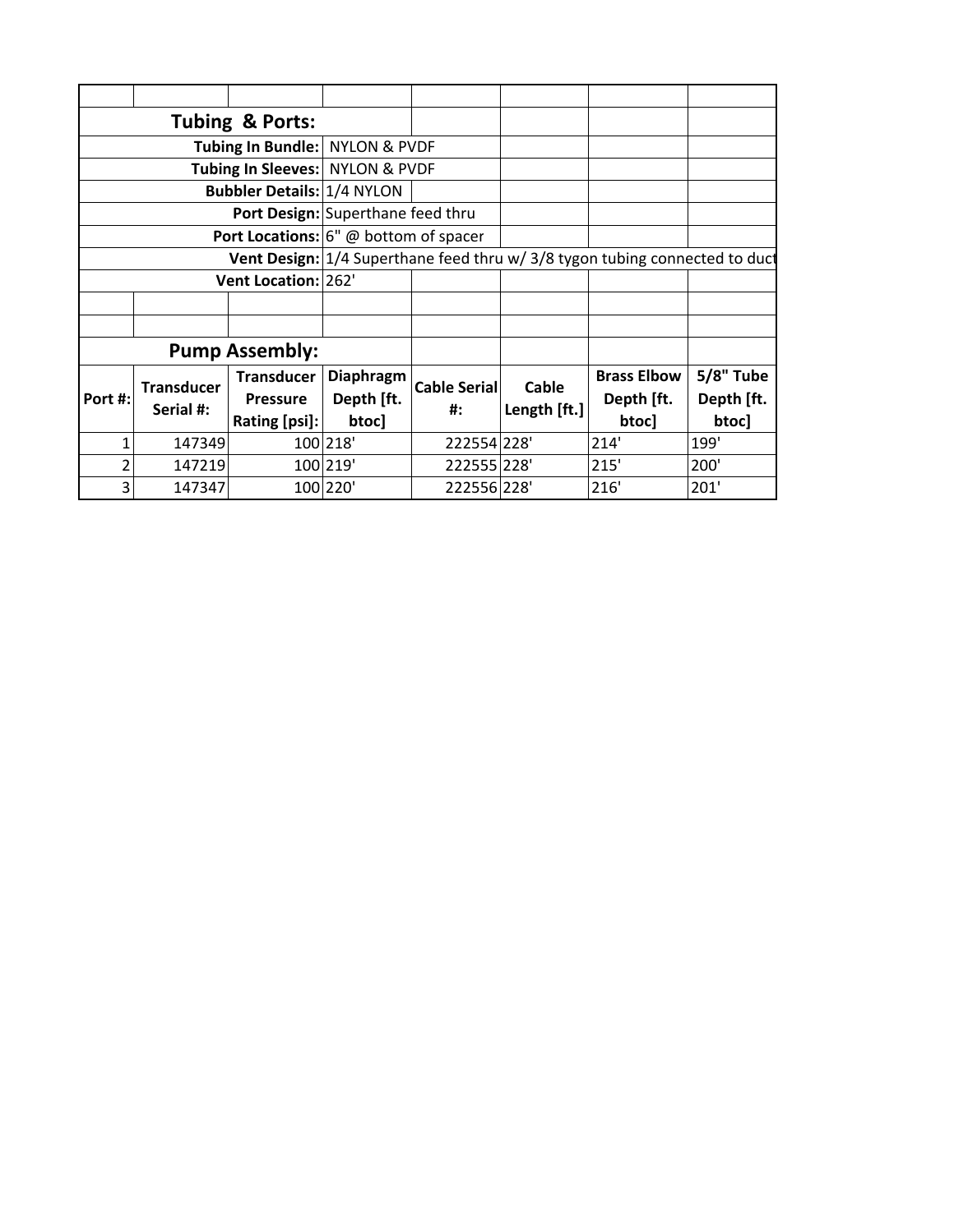|              |                                | Tubing & Ports:                                                 |                                                                             |                           |                              |                                  |                                |  |  |
|--------------|--------------------------------|-----------------------------------------------------------------|-----------------------------------------------------------------------------|---------------------------|------------------------------|----------------------------------|--------------------------------|--|--|
|              |                                | Tubing In Bundle: NYLON & PVDF                                  |                                                                             |                           |                              |                                  |                                |  |  |
|              |                                | Tubing In Sleeves: NYLON & PVDF                                 |                                                                             |                           |                              |                                  |                                |  |  |
|              |                                | <b>Bubbler Details: 1/4 NYLON</b>                               |                                                                             |                           |                              |                                  |                                |  |  |
|              |                                | Port Design: Superthane feed thru                               |                                                                             |                           |                              |                                  |                                |  |  |
|              |                                | Port Locations: 6" @ bottom of spacer                           |                                                                             |                           |                              |                                  |                                |  |  |
|              |                                |                                                                 | Vent Design: 1/4 Superthane feed thru w/ 3/8 tygon tubing connected to duct |                           |                              |                                  |                                |  |  |
|              |                                | Vent Location: 262'                                             |                                                                             |                           |                              |                                  |                                |  |  |
|              |                                |                                                                 |                                                                             |                           |                              |                                  |                                |  |  |
|              |                                |                                                                 |                                                                             |                           |                              |                                  |                                |  |  |
|              |                                | <b>Pump Assembly:</b>                                           |                                                                             |                           |                              |                                  |                                |  |  |
| Port #:      | <b>Transducer</b><br>Serial #: | <b>Transducer</b><br>Diaphragm<br>Depth [ft.<br><b>Pressure</b> |                                                                             | <b>Cable Serial</b><br>#: | <b>Cable</b><br>Length [ft.] | <b>Brass Elbow</b><br>Depth [ft. | <b>5/8" Tube</b><br>Depth [ft. |  |  |
|              |                                | Rating [psi]:                                                   | btoc]                                                                       |                           |                              | btoc]                            | btoc]                          |  |  |
| $\mathbf{1}$ | 147349                         |                                                                 | 100 218'                                                                    | 222554 228'               |                              | 214'                             | 199'                           |  |  |
| 2            | 147219                         |                                                                 | 100 219'                                                                    | 222555 228'               |                              | 215'                             | 200'                           |  |  |
| 3            | 147347                         |                                                                 | 100 220'                                                                    | 222556 228'               |                              | 216'                             | 201'                           |  |  |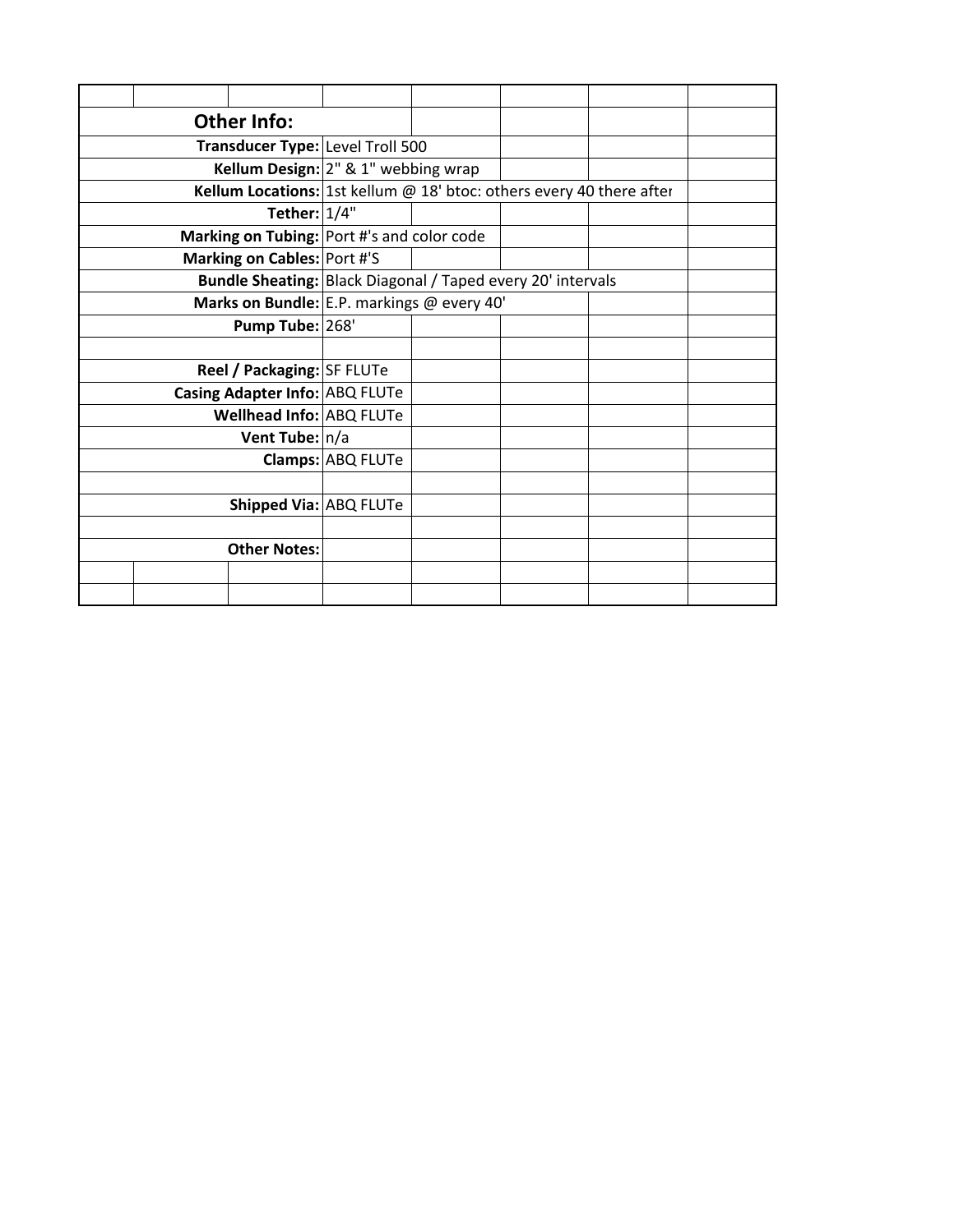|  | <b>Other Info:</b>                                                   |                   |  |  |
|--|----------------------------------------------------------------------|-------------------|--|--|
|  | Transducer Type: Level Troll 500                                     |                   |  |  |
|  | Kellum Design: 2" & 1" webbing wrap                                  |                   |  |  |
|  | Kellum Locations: 1st kellum @ 18' btoc: others every 40 there after |                   |  |  |
|  | Tether: $1/4"$                                                       |                   |  |  |
|  | Marking on Tubing: Port #'s and color code                           |                   |  |  |
|  | Marking on Cables: Port #'S                                          |                   |  |  |
|  | <b>Bundle Sheating: Black Diagonal / Taped every 20' intervals</b>   |                   |  |  |
|  | Marks on Bundle: E.P. markings @ every 40'                           |                   |  |  |
|  | Pump Tube: 268'                                                      |                   |  |  |
|  |                                                                      |                   |  |  |
|  | Reel / Packaging: SF FLUTe                                           |                   |  |  |
|  | Casing Adapter Info: ABQ FLUTe                                       |                   |  |  |
|  | Wellhead Info: ABQ FLUTe                                             |                   |  |  |
|  | Vent Tube: n/a                                                       |                   |  |  |
|  |                                                                      | Clamps: ABQ FLUTe |  |  |
|  |                                                                      |                   |  |  |
|  | Shipped Via: ABQ FLUTe                                               |                   |  |  |
|  |                                                                      |                   |  |  |
|  | <b>Other Notes:</b>                                                  |                   |  |  |
|  |                                                                      |                   |  |  |
|  |                                                                      |                   |  |  |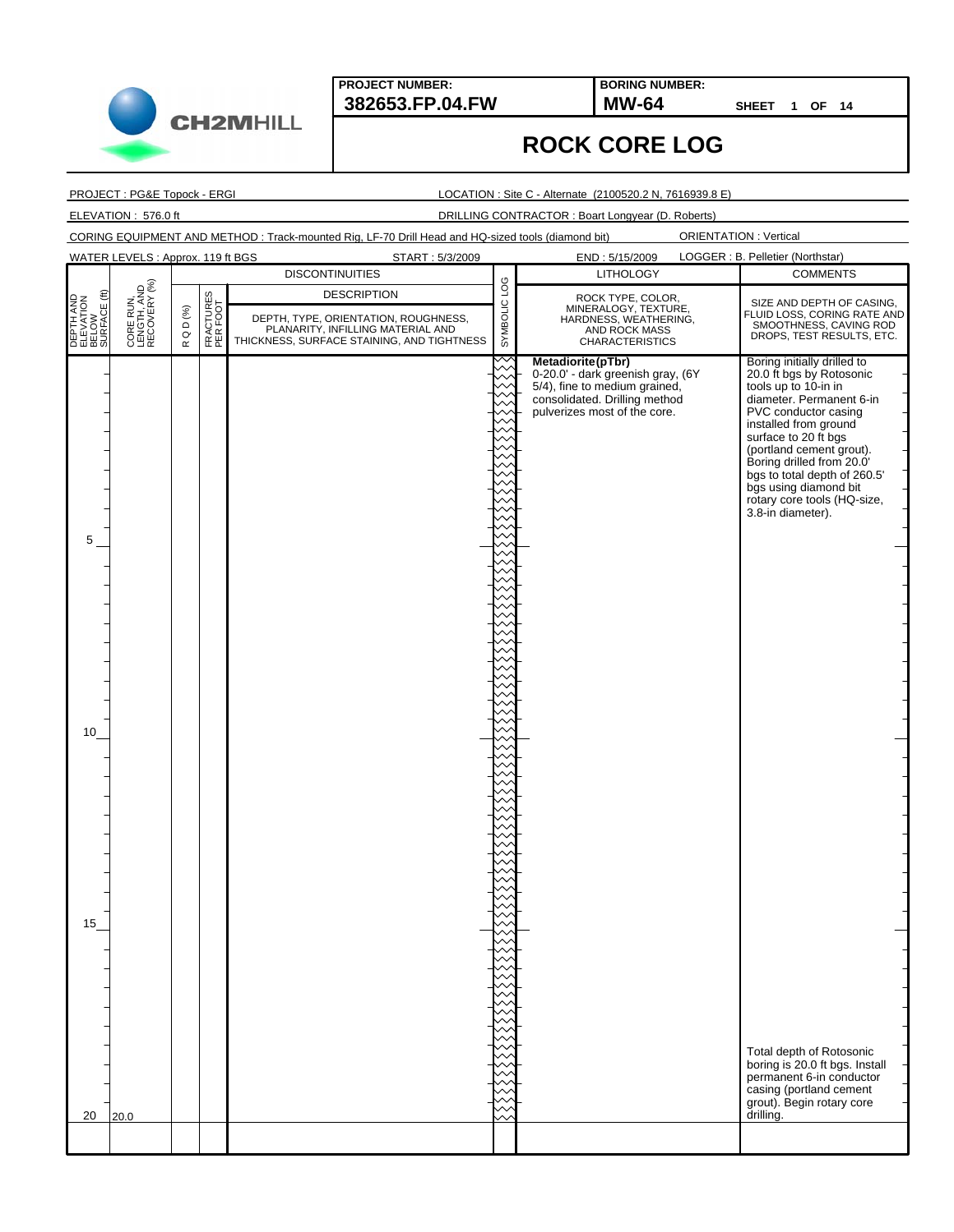**382653.FP.04.FW MW-64 BORING NUMBER:**

**SHEET 1 OF 14**

## **ROCK CORE LOG**

PROJECT : PG&E Topock - ERGI

LOCATION : Site C - Alternate (2100520.2 N, 7616939.8 E)

ELEVATION : 576.0 ft DRILLING CONTRACTOR : Boart Longyear (D. Roberts)

CORING EQUIPMENT AND METHOD : Track-mounted Rig, LF-70 Drill Head and HQ-sized tools (diamond bit)

|                                                 | WATER LEVELS: Approx. 119 ft BGS         |                                                   |                       | START: 5/3/2009                                                                                                                               |              |                                                                                                                                                          | LOGGER : B. Pelletier (Northstar)                                                                                                                                                                                                                                                                                                                          |
|-------------------------------------------------|------------------------------------------|---------------------------------------------------|-----------------------|-----------------------------------------------------------------------------------------------------------------------------------------------|--------------|----------------------------------------------------------------------------------------------------------------------------------------------------------|------------------------------------------------------------------------------------------------------------------------------------------------------------------------------------------------------------------------------------------------------------------------------------------------------------------------------------------------------------|
|                                                 |                                          |                                                   |                       | <b>DISCONTINUITIES</b>                                                                                                                        |              | END: 5/15/2009<br><b>LITHOLOGY</b>                                                                                                                       | <b>COMMENTS</b>                                                                                                                                                                                                                                                                                                                                            |
| DEPTH AND<br>ELEVATION<br>BELOW<br>SURFACE (ft) | CORE RUN,<br>LENGTH, AND<br>RECOVERY (%) | Q D $( \% )$<br>$\boldsymbol{\underline{\alpha}}$ | FRACTURES<br>PER FOOT | <b>DESCRIPTION</b><br>DEPTH, TYPE, ORIENTATION, ROUGHNESS,<br>PLANARITY, INFILLING MATERIAL AND<br>THICKNESS, SURFACE STAINING, AND TIGHTNESS | SYMBOLIC LOG | ROCK TYPE, COLOR,<br>MINERALOGY, TEXTURE,<br>HARDNESS, WEATHERING,<br>AND ROCK MASS<br><b>CHARACTERISTICS</b>                                            | SIZE AND DEPTH OF CASING,<br>FLUID LOSS, CORING RATE AND<br>SMOOTHNESS, CAVING ROD<br>DROPS, TEST RESULTS, ETC.                                                                                                                                                                                                                                            |
| 5                                               |                                          |                                                   |                       |                                                                                                                                               |              | Metadiorite(pTbr)<br>0-20.0' - dark greenish gray, (6Y<br>5/4), fine to medium grained,<br>consolidated. Drilling method<br>pulverizes most of the core. | Boring initially drilled to<br>20.0 ft bgs by Rotosonic<br>tools up to 10-in in<br>diameter. Permanent 6-in<br>PVC conductor casing<br>installed from ground<br>surface to 20 ft bgs<br>(portland cement grout).<br>Boring drilled from 20.0'<br>bgs to total depth of 260.5'<br>bgs using diamond bit<br>rotary core tools (HQ-size,<br>3.8-in diameter). |
| 10 <sup>1</sup>                                 |                                          |                                                   |                       |                                                                                                                                               |              |                                                                                                                                                          |                                                                                                                                                                                                                                                                                                                                                            |
|                                                 |                                          |                                                   |                       |                                                                                                                                               |              |                                                                                                                                                          |                                                                                                                                                                                                                                                                                                                                                            |
| 15                                              |                                          |                                                   |                       |                                                                                                                                               |              |                                                                                                                                                          | Total depth of Rotosonic<br>boring is 20.0 ft bgs. Install                                                                                                                                                                                                                                                                                                 |
| 20                                              | 20.0                                     |                                                   |                       |                                                                                                                                               |              |                                                                                                                                                          | permanent 6-in conductor<br>casing (portland cement<br>grout). Begin rotary core<br>drilling.                                                                                                                                                                                                                                                              |
|                                                 |                                          |                                                   |                       |                                                                                                                                               |              |                                                                                                                                                          |                                                                                                                                                                                                                                                                                                                                                            |

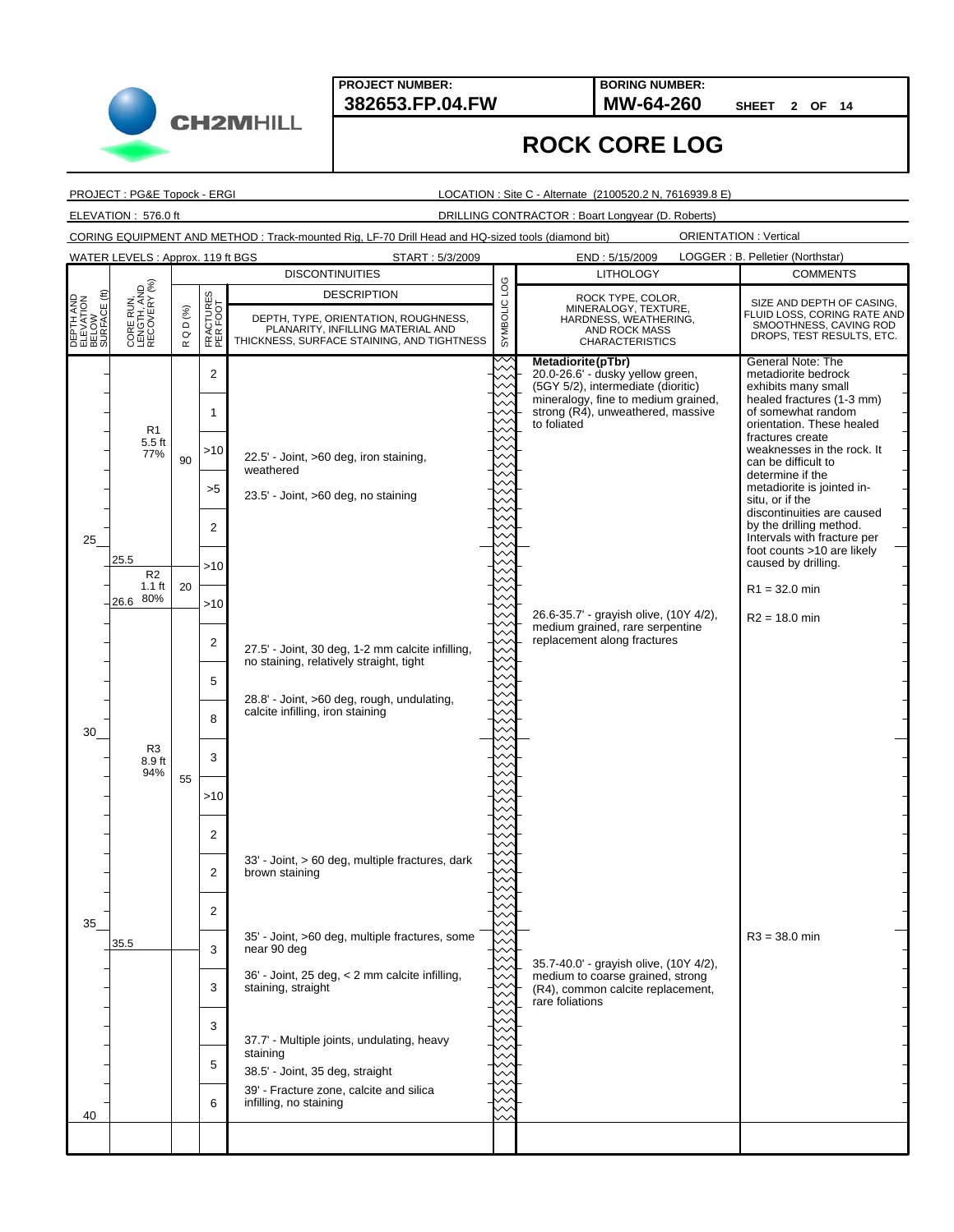**382653.FP.04.FW MW-64-260 BORING NUMBER:**

**SHEET 2 OF 14**

PROJECT : PG&E Topock - ERGI

**CH2MHILL** 

LOCATION : Site C - Alternate (2100520.2 N, 7616939.8 E)

**ROCK CORE LOG**

ELEVATION : 576.0 ft DRILLING CONTRACTOR : Boart Longyear (D. Roberts)

CORING EQUIPMENT AND METHOD : Track-mounted Rig, LF-70 Drill Head and HQ-sized tools (diamond bit)

|                                                 | WATER LEVELS: Approx. 119 ft BGS          |                                |                       | START: 5/3/2009                                                                                                                               |              | END: 5/15/2009                                                                                                                                                                         | LOGGER : B. Pelletier (Northstar)                                                                                                                                               |
|-------------------------------------------------|-------------------------------------------|--------------------------------|-----------------------|-----------------------------------------------------------------------------------------------------------------------------------------------|--------------|----------------------------------------------------------------------------------------------------------------------------------------------------------------------------------------|---------------------------------------------------------------------------------------------------------------------------------------------------------------------------------|
|                                                 |                                           |                                |                       | <b>DISCONTINUITIES</b>                                                                                                                        |              | <b>LITHOLOGY</b>                                                                                                                                                                       | <b>COMMENTS</b>                                                                                                                                                                 |
| DEPTH AND<br>ELEVATION<br>BELOW<br>SURFACE (ft) | CORE RUN,<br>LENGTH, AND<br>RECOVERY (%)  | $D$ (%)<br>$\circ$<br>$\simeq$ | FRACTURES<br>PER FOOT | <b>DESCRIPTION</b><br>DEPTH, TYPE, ORIENTATION, ROUGHNESS,<br>PLANARITY, INFILLING MATERIAL AND<br>THICKNESS, SURFACE STAINING, AND TIGHTNESS | SYMBOLIC LOG | ROCK TYPE, COLOR,<br>MINERALOGY, TEXTURE,<br>HARDNESS, WEATHERING,<br>AND ROCK MASS<br><b>CHARACTERISTICS</b>                                                                          | SIZE AND DEPTH OF CASING,<br>FLUID LOSS, CORING RATE AND<br>SMOOTHNESS, CAVING ROD<br>DROPS, TEST RESULTS, ETC.                                                                 |
|                                                 | R <sub>1</sub><br>$5.5$ ft                |                                | $\overline{2}$<br>1   |                                                                                                                                               |              | Metadiorite(pTbr)<br>20.0-26.6' - dusky yellow green,<br>(5GY 5/2), intermediate (dioritic)<br>mineralogy, fine to medium grained,<br>strong (R4), unweathered, massive<br>to foliated | General Note: The<br>metadiorite bedrock<br>exhibits many small<br>healed fractures (1-3 mm)<br>of somewhat random<br>orientation. These healed<br>fractures create             |
|                                                 | 77%                                       | 90                             | >10<br>>5             | 22.5' - Joint, >60 deg, iron staining,<br>weathered<br>23.5' - Joint, >60 deg, no staining                                                    |              |                                                                                                                                                                                        | weaknesses in the rock. It<br>can be difficult to<br>determine if the<br>metadiorite is jointed in-<br>situ, or if the<br>discontinuities are caused<br>by the drilling method. |
| 25                                              | 25.5<br>R <sub>2</sub><br>$1.1$ ft<br>80% | 20                             | 2<br>$>10$            |                                                                                                                                               |              |                                                                                                                                                                                        | Intervals with fracture per<br>foot counts >10 are likely<br>caused by drilling.<br>$R1 = 32.0$ min                                                                             |
|                                                 | 26.6                                      |                                | >10<br>2              | 27.5' - Joint, 30 deg, 1-2 mm calcite infilling,<br>no staining, relatively straight, tight                                                   |              | 26.6-35.7' - grayish olive, (10Y 4/2),<br>medium grained, rare serpentine<br>replacement along fractures                                                                               | $R2 = 18.0$ min                                                                                                                                                                 |
| 30                                              |                                           |                                | 5<br>8                | 28.8' - Joint, >60 deg, rough, undulating,<br>calcite infilling, iron staining                                                                |              |                                                                                                                                                                                        |                                                                                                                                                                                 |
|                                                 | R3<br>8.9 ft<br>94%                       | 55                             | 3<br>>10              |                                                                                                                                               |              |                                                                                                                                                                                        |                                                                                                                                                                                 |
|                                                 |                                           |                                | 2<br>2                | 33' - Joint, > 60 deg, multiple fractures, dark<br>brown staining                                                                             |              |                                                                                                                                                                                        |                                                                                                                                                                                 |
| 35                                              | 35.5                                      |                                | 2<br>3                | 35' - Joint, >60 deg, multiple fractures, some<br>near 90 deg                                                                                 |              | 35.7-40.0' - grayish olive, (10Y 4/2),                                                                                                                                                 | $R3 = 38.0$ min                                                                                                                                                                 |
|                                                 |                                           |                                | 3<br>3                | 36' - Joint, 25 deg, < 2 mm calcite infilling,<br>staining, straight<br>37.7' - Multiple joints, undulating, heavy                            |              | medium to coarse grained, strong<br>(R4), common calcite replacement,<br>rare foliations                                                                                               |                                                                                                                                                                                 |
| 40                                              |                                           |                                | 5<br>6                | staining<br>38.5' - Joint, 35 deg, straight<br>39' - Fracture zone, calcite and silica<br>infilling, no staining                              |              |                                                                                                                                                                                        |                                                                                                                                                                                 |
|                                                 |                                           |                                |                       |                                                                                                                                               |              |                                                                                                                                                                                        |                                                                                                                                                                                 |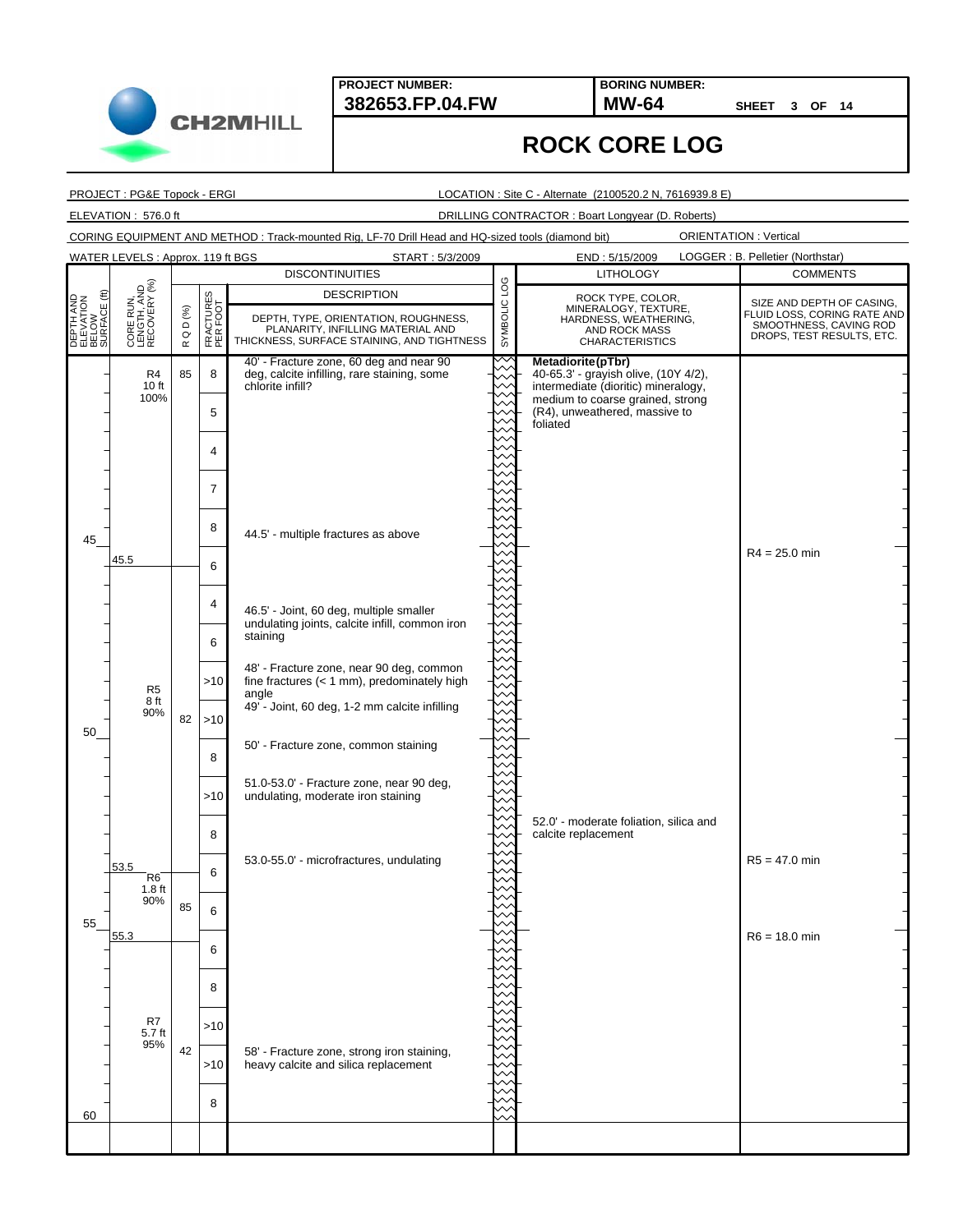**382653.FP.04.FW MW-64 BORING NUMBER:**

**SHEET 3 OF 14**

## **ROCK CORE LOG**

PROJECT : PG&E Topock - ERGI

LOCATION : Site C - Alternate (2100520.2 N, 7616939.8 E)

ELEVATION : 576.0 ft DRILLING CONTRACTOR : Boart Longyear (D. Roberts)

CORING EQUIPMENT AND METHOD : Track-mounted Rig, LF-70 Drill Head and HQ-sized tools (diamond bit) ORIENTATION : Vertical

|                                                 | WATER LEVELS: Approx. 119 ft BGS         |                                                 |                       | START: 5/3/2009                                                                           |              | END: 5/15/2009                                                    | LOGGER : B. Pelletier (Northstar)                   |
|-------------------------------------------------|------------------------------------------|-------------------------------------------------|-----------------------|-------------------------------------------------------------------------------------------|--------------|-------------------------------------------------------------------|-----------------------------------------------------|
|                                                 |                                          |                                                 |                       | <b>DISCONTINUITIES</b>                                                                    |              | <b>LITHOLOGY</b>                                                  | <b>COMMENTS</b>                                     |
|                                                 |                                          |                                                 |                       | <b>DESCRIPTION</b>                                                                        |              | ROCK TYPE, COLOR,                                                 | SIZE AND DEPTH OF CASING,                           |
| DEPTH AND<br>ELEVATION<br>BELOW<br>SURFACE (ft) | CORE RUN,<br>LENGTH, AND<br>RECOVERY (%) | $\textsf{Q}\mathrel{\mathsf{D}}(\mathcal{Y}_0)$ | FRACTURES<br>PER FOOT | DEPTH, TYPE, ORIENTATION, ROUGHNESS,                                                      | SYMBOLIC LOG | MINERALOGY, TEXTURE,<br>HARDNESS, WEATHERING,                     | FLUID LOSS, CORING RATE AND                         |
|                                                 |                                          |                                                 |                       | PLANARITY, INFILLING MATERIAL AND<br>THICKNESS, SURFACE STAINING, AND TIGHTNESS           |              | AND ROCK MASS                                                     | SMOOTHNESS, CAVING ROD<br>DROPS, TEST RESULTS, ETC. |
|                                                 |                                          | $\simeq$                                        |                       |                                                                                           |              | <b>CHARACTERISTICS</b>                                            |                                                     |
|                                                 | R4                                       | 85                                              | 8                     | 40' - Fracture zone, 60 deg and near 90<br>deg, calcite infilling, rare staining, some    |              | Metadiorite(pTbr)<br>40-65.3' - grayish olive, (10Y 4/2),         |                                                     |
|                                                 | 10 ft<br>100%                            |                                                 |                       | chlorite infill?                                                                          |              | intermediate (dioritic) mineralogy,                               |                                                     |
|                                                 |                                          |                                                 | 5                     |                                                                                           |              | medium to coarse grained, strong<br>(R4), unweathered, massive to |                                                     |
|                                                 |                                          |                                                 |                       |                                                                                           |              | foliated                                                          |                                                     |
|                                                 |                                          |                                                 | 4                     |                                                                                           |              |                                                                   |                                                     |
|                                                 |                                          |                                                 |                       |                                                                                           |              |                                                                   |                                                     |
|                                                 |                                          |                                                 | $\overline{7}$        |                                                                                           |              |                                                                   |                                                     |
|                                                 |                                          |                                                 |                       |                                                                                           |              |                                                                   |                                                     |
|                                                 |                                          |                                                 | 8                     |                                                                                           |              |                                                                   |                                                     |
| 45                                              |                                          |                                                 |                       | 44.5' - multiple fractures as above                                                       |              |                                                                   |                                                     |
|                                                 | 45.5                                     |                                                 | 6                     |                                                                                           |              |                                                                   | $R4 = 25.0$ min                                     |
|                                                 |                                          |                                                 |                       |                                                                                           |              |                                                                   |                                                     |
|                                                 |                                          |                                                 | 4                     |                                                                                           |              |                                                                   |                                                     |
|                                                 |                                          |                                                 |                       | 46.5' - Joint, 60 deg, multiple smaller<br>undulating joints, calcite infill, common iron |              |                                                                   |                                                     |
|                                                 |                                          |                                                 | 6                     | staining                                                                                  |              |                                                                   |                                                     |
|                                                 |                                          |                                                 |                       |                                                                                           |              |                                                                   |                                                     |
|                                                 |                                          |                                                 | >10                   | 48' - Fracture zone, near 90 deg, common<br>fine fractures $(< 1$ mm), predominately high |              |                                                                   |                                                     |
|                                                 | R <sub>5</sub><br>8 ft                   |                                                 |                       | angle                                                                                     |              |                                                                   |                                                     |
|                                                 | 90%                                      | 82                                              | >10                   | 49' - Joint, 60 deg, 1-2 mm calcite infilling                                             |              |                                                                   |                                                     |
| 50                                              |                                          |                                                 |                       | 50' - Fracture zone, common staining                                                      |              |                                                                   |                                                     |
|                                                 |                                          |                                                 | 8                     |                                                                                           |              |                                                                   |                                                     |
|                                                 |                                          |                                                 |                       | 51.0-53.0' - Fracture zone, near 90 deg,                                                  |              |                                                                   |                                                     |
|                                                 |                                          |                                                 | >10                   | undulating, moderate iron staining                                                        |              |                                                                   |                                                     |
|                                                 |                                          |                                                 |                       |                                                                                           |              | 52.0' - moderate foliation, silica and                            |                                                     |
|                                                 |                                          |                                                 | 8                     |                                                                                           |              | calcite replacement                                               |                                                     |
|                                                 |                                          |                                                 |                       | 53.0-55.0' - microfractures, undulating                                                   |              |                                                                   | $R5 = 47.0$ min                                     |
|                                                 | 53.5<br>R <sub>6</sub>                   |                                                 | 6                     |                                                                                           |              |                                                                   |                                                     |
|                                                 | 1.8 <sub>ft</sub><br>90%                 |                                                 |                       |                                                                                           |              |                                                                   |                                                     |
|                                                 |                                          | 85                                              | 6                     |                                                                                           |              |                                                                   |                                                     |
| 55                                              | 55.3                                     |                                                 |                       |                                                                                           |              |                                                                   | $R6 = 18.0$ min                                     |
|                                                 |                                          |                                                 | 6                     |                                                                                           |              |                                                                   |                                                     |
|                                                 |                                          |                                                 |                       |                                                                                           |              |                                                                   |                                                     |
|                                                 |                                          |                                                 | 8                     |                                                                                           |              |                                                                   |                                                     |
|                                                 |                                          |                                                 |                       |                                                                                           |              |                                                                   |                                                     |
|                                                 | R7<br>5.7 ft                             |                                                 | >10                   |                                                                                           |              |                                                                   |                                                     |
|                                                 | 95%                                      | 42                                              |                       | 58' - Fracture zone, strong iron staining,                                                |              |                                                                   |                                                     |
|                                                 |                                          |                                                 | >10                   | heavy calcite and silica replacement                                                      |              |                                                                   |                                                     |
|                                                 |                                          |                                                 |                       |                                                                                           |              |                                                                   |                                                     |
| 60                                              |                                          |                                                 | 8                     |                                                                                           |              |                                                                   |                                                     |
|                                                 |                                          |                                                 |                       |                                                                                           |              |                                                                   |                                                     |
|                                                 |                                          |                                                 |                       |                                                                                           |              |                                                                   |                                                     |

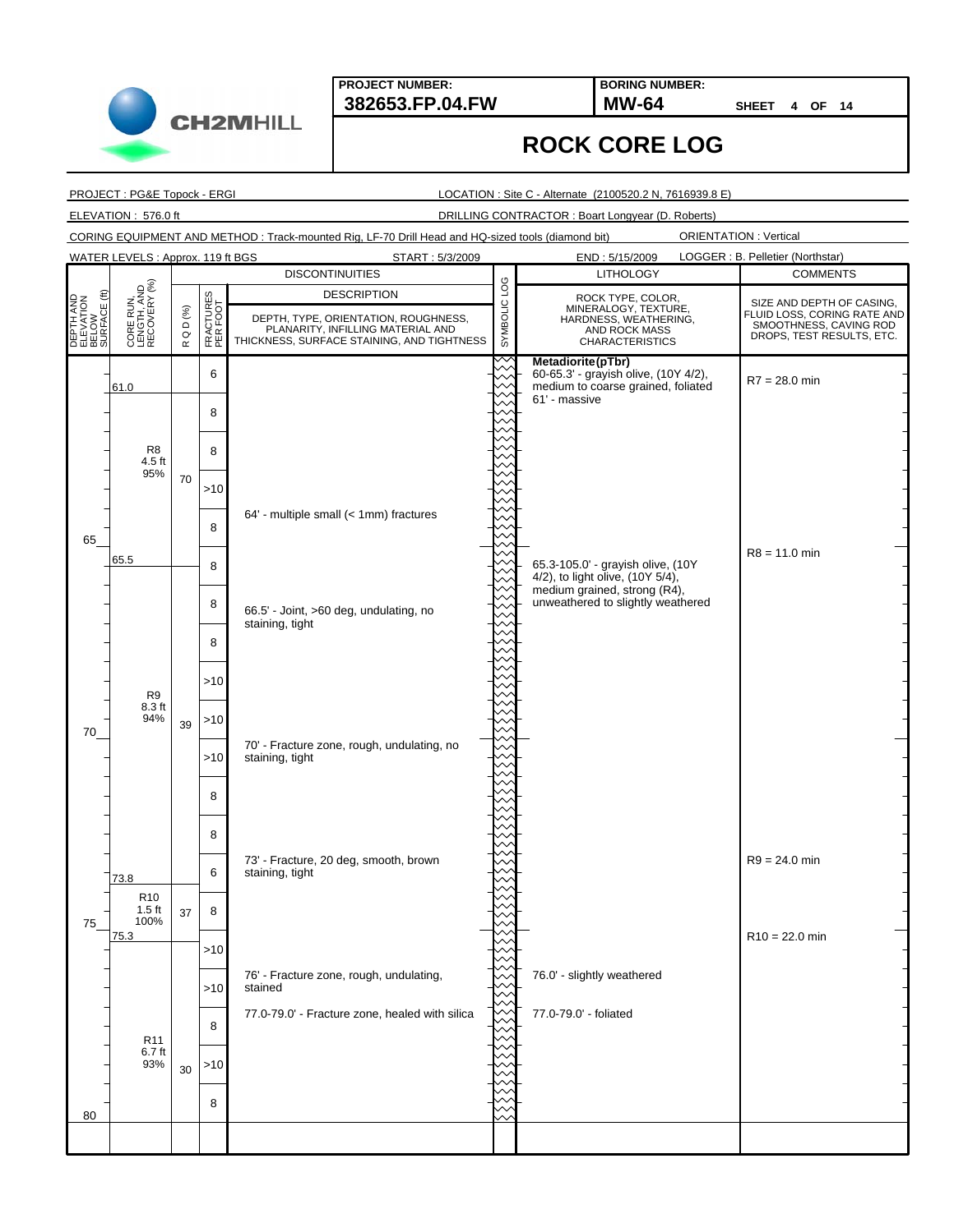START: 5/3/2009

**BORING NUMBER:**

**SHEET 4 OF 14**

#### **ROCK CORE LOG**

PROJECT : PG&E Topock - ERGI

WATER LEVELS : Approx. 119 ft BGS

LOCATION : Site C - Alternate (2100520.2 N, 7616939.8 E)

ELEVATION : 576.0 ft DRILLING CONTRACTOR : Boart Longyear (D. Roberts)

CORING EQUIPMENT AND METHOD : Track-mounted Rig, LF-70 Drill Head and HQ-sized tools (diamond bit)

|                                                 |                                             |                        |                       | <b>DISCONTINUITIES</b>                                                                                                                        |              | <b>LITHOLOGY</b>                                                                                                  | <b>COMMENTS</b>                                                                                                 |
|-------------------------------------------------|---------------------------------------------|------------------------|-----------------------|-----------------------------------------------------------------------------------------------------------------------------------------------|--------------|-------------------------------------------------------------------------------------------------------------------|-----------------------------------------------------------------------------------------------------------------|
| DEPTH AND<br>ELEVATION<br>BELOW<br>SURFACE (ft) | CORE RUN,<br>LENGTH, AND<br>RECOVERY (%)    | Q D $(%)$<br>$\propto$ | FRACTURES<br>PER FOOT | <b>DESCRIPTION</b><br>DEPTH, TYPE, ORIENTATION, ROUGHNESS,<br>PLANARITY, INFILLING MATERIAL AND<br>THICKNESS, SURFACE STAINING, AND TIGHTNESS | SYMBOLIC LOG | ROCK TYPE, COLOR,<br>MINERALOGY, TEXTURE,<br>HARDNESS, WEATHERING,<br>AND ROCK MASS<br><b>CHARACTERISTICS</b>     | SIZE AND DEPTH OF CASING,<br>FLUID LOSS, CORING RATE AND<br>SMOOTHNESS, CAVING ROD<br>DROPS, TEST RESULTS, ETC. |
|                                                 | 61.0                                        |                        | 6                     |                                                                                                                                               |              | Metadiorite (pTbr)<br>60-65.3' - grayish olive, (10Y 4/2),<br>medium to coarse grained, foliated<br>61' - massive | $R7 = 28.0$ min                                                                                                 |
|                                                 | R <sub>8</sub>                              |                        | 8<br>8                |                                                                                                                                               |              |                                                                                                                   |                                                                                                                 |
|                                                 | 4.5 ft<br>95%                               | 70                     | >10                   |                                                                                                                                               |              |                                                                                                                   |                                                                                                                 |
| 65                                              |                                             |                        | 8                     | 64' - multiple small (< 1mm) fractures                                                                                                        |              |                                                                                                                   |                                                                                                                 |
|                                                 | 65.5                                        |                        | 8                     |                                                                                                                                               |              | 65.3-105.0' - grayish olive, (10Y<br>4/2), to light olive, (10Y 5/4),<br>medium grained, strong (R4),             | $R8 = 11.0$ min                                                                                                 |
|                                                 |                                             |                        | 8                     | 66.5' - Joint, >60 deg, undulating, no<br>staining, tight                                                                                     |              | unweathered to slightly weathered                                                                                 |                                                                                                                 |
|                                                 |                                             |                        | 8<br>$>10$            |                                                                                                                                               |              |                                                                                                                   |                                                                                                                 |
| 70                                              | R9<br>8.3 ft<br>94%                         | 39                     | $>10$                 |                                                                                                                                               |              |                                                                                                                   |                                                                                                                 |
|                                                 |                                             |                        | >10                   | 70' - Fracture zone, rough, undulating, no<br>staining, tight                                                                                 |              |                                                                                                                   |                                                                                                                 |
|                                                 |                                             |                        | 8                     |                                                                                                                                               |              |                                                                                                                   |                                                                                                                 |
|                                                 |                                             |                        | 8<br>6                | 73' - Fracture, 20 deg, smooth, brown<br>staining, tight                                                                                      |              |                                                                                                                   | $R9 = 24.0$ min                                                                                                 |
| 75                                              | 73.8<br>R <sub>10</sub><br>$1.5$ ft<br>100% | 37                     | 8                     |                                                                                                                                               |              |                                                                                                                   |                                                                                                                 |
|                                                 | 75.3                                        |                        | >10                   |                                                                                                                                               |              |                                                                                                                   | $R10 = 22.0$ min                                                                                                |
|                                                 |                                             |                        | $>10$                 | 76' - Fracture zone, rough, undulating,<br>stained<br>77.0-79.0' - Fracture zone, healed with silica                                          |              | 76.0' - slightly weathered<br>77.0-79.0' - foliated                                                               |                                                                                                                 |
|                                                 | R <sub>11</sub><br>6.7 ft<br>93%            |                        | 8<br>>10              |                                                                                                                                               |              |                                                                                                                   |                                                                                                                 |
| 80                                              |                                             | 30                     | 8                     |                                                                                                                                               |              |                                                                                                                   |                                                                                                                 |
|                                                 |                                             |                        |                       |                                                                                                                                               |              |                                                                                                                   |                                                                                                                 |

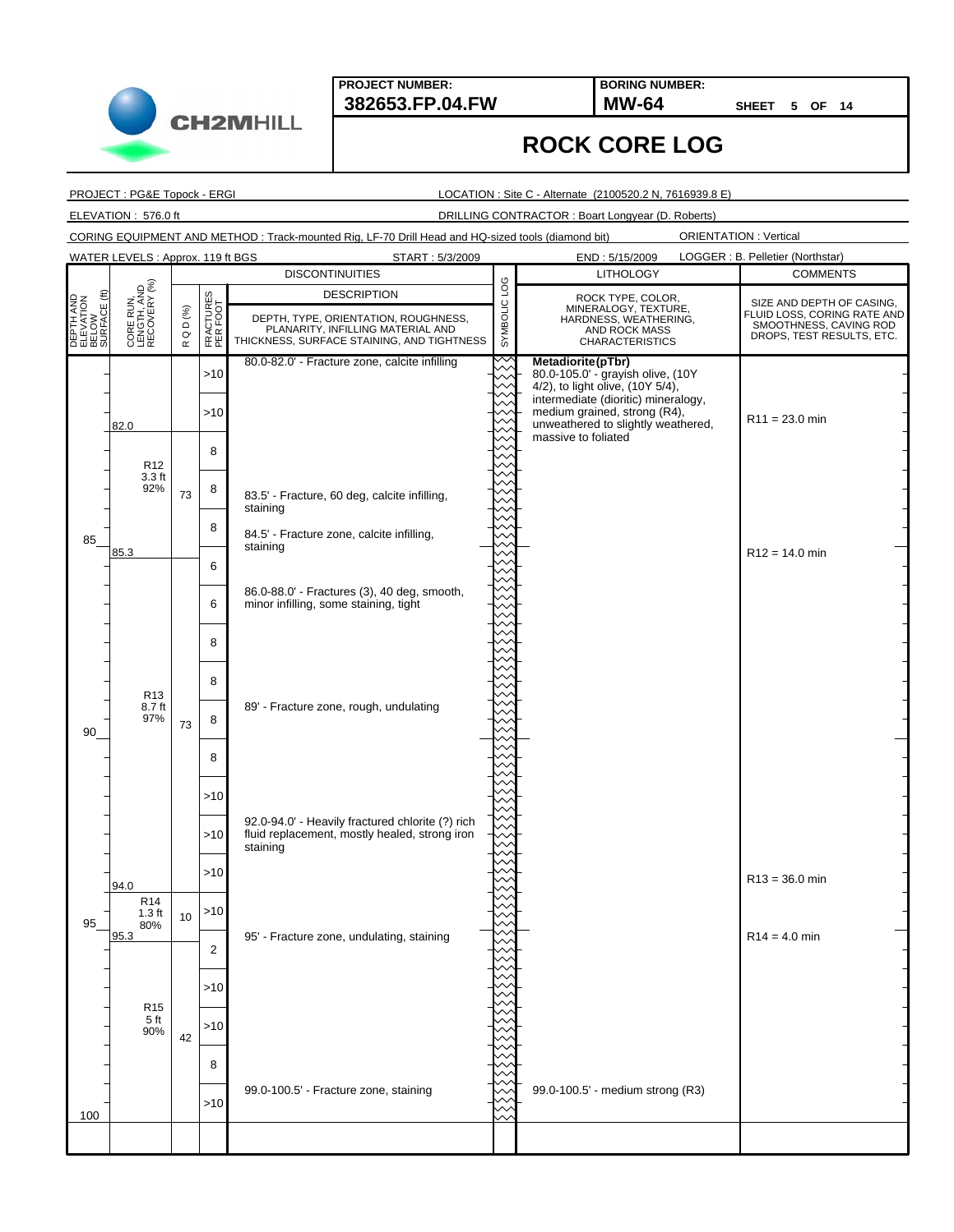**382653.FP.04.FW MW-64 BORING NUMBER:**

**SHEET 5 OF 14**

## **ROCK CORE LOG**

PROJECT : PG&E Topock - ERGI

LOCATION : Site C - Alternate (2100520.2 N, 7616939.8 E)

ELEVATION : 576.0 ft DRILLING CONTRACTOR : Boart Longyear (D. Roberts)

CORING EQUIPMENT AND METHOD : Track-mounted Rig, LF-70 Drill Head and HQ-sized tools (diamond bit)

ORIENTATION : Vertical

|                                                 | WATER LEVELS : Approx. 119 ft BGS        |                           |                       | START: 5/3/2009                                                                                                                               |              |                                                                                                               | LOGGER : B. Pelletier (Northstar)                                                                               |
|-------------------------------------------------|------------------------------------------|---------------------------|-----------------------|-----------------------------------------------------------------------------------------------------------------------------------------------|--------------|---------------------------------------------------------------------------------------------------------------|-----------------------------------------------------------------------------------------------------------------|
|                                                 |                                          |                           |                       | <b>DISCONTINUITIES</b>                                                                                                                        |              | <b>LITHOLOGY</b>                                                                                              | <b>COMMENTS</b>                                                                                                 |
| DEPTH AND<br>ELEVATION<br>BELOW<br>SURFACE (ft) | CORE RUN,<br>LENGTH, AND<br>RECOVERY (%) | $Q D$ $(\%)$<br>$\propto$ | FRACTURES<br>PER FOOT | <b>DESCRIPTION</b><br>DEPTH, TYPE, ORIENTATION, ROUGHNESS,<br>PLANARITY, INFILLING MATERIAL AND<br>THICKNESS, SURFACE STAINING, AND TIGHTNESS | SYMBOLIC LOG | ROCK TYPE, COLOR,<br>MINERALOGY, TEXTURE,<br>HARDNESS, WEATHERING,<br>AND ROCK MASS<br><b>CHARACTERISTICS</b> | SIZE AND DEPTH OF CASING,<br>FLUID LOSS, CORING RATE AND<br>SMOOTHNESS, CAVING ROD<br>DROPS, TEST RESULTS, ETC. |
|                                                 |                                          |                           | >10                   | 80.0-82.0' - Fracture zone, calcite infilling                                                                                                 |              | Metadiorite(pTbr)<br>80.0-105.0' - grayish olive, (10Y<br>4/2), to light olive, (10Y 5/4),                    |                                                                                                                 |
|                                                 | 82.0                                     |                           | >10                   |                                                                                                                                               |              | intermediate (dioritic) mineralogy,<br>medium grained, strong (R4),<br>unweathered to slightly weathered,     | $R11 = 23.0$ min                                                                                                |
|                                                 | R <sub>12</sub>                          |                           | 8                     |                                                                                                                                               |              | massive to foliated                                                                                           |                                                                                                                 |
|                                                 | 3.3 <sub>ft</sub><br>92%                 | 73                        | 8                     | 83.5' - Fracture, 60 deg, calcite infilling,                                                                                                  |              |                                                                                                               |                                                                                                                 |
| 85                                              |                                          |                           | 8                     | staining<br>84.5' - Fracture zone, calcite infilling,                                                                                         |              |                                                                                                               |                                                                                                                 |
|                                                 | 85.3                                     |                           | 6                     | staining                                                                                                                                      |              |                                                                                                               | $R12 = 14.0$ min                                                                                                |
|                                                 |                                          |                           | 6                     | 86.0-88.0' - Fractures (3), 40 deg, smooth,<br>minor infilling, some staining, tight                                                          |              |                                                                                                               |                                                                                                                 |
|                                                 |                                          |                           | 8                     |                                                                                                                                               |              |                                                                                                               |                                                                                                                 |
|                                                 | R <sub>13</sub>                          |                           | 8                     |                                                                                                                                               |              |                                                                                                               |                                                                                                                 |
| 90                                              | 8.7 ft<br>97%                            | 73                        | 8                     | 89' - Fracture zone, rough, undulating                                                                                                        |              |                                                                                                               |                                                                                                                 |
|                                                 |                                          |                           | 8                     |                                                                                                                                               |              |                                                                                                               |                                                                                                                 |
|                                                 |                                          |                           | >10                   | 92.0-94.0' - Heavily fractured chlorite (?) rich                                                                                              |              |                                                                                                               |                                                                                                                 |
|                                                 |                                          |                           | >10                   | fluid replacement, mostly healed, strong iron<br>staining                                                                                     |              |                                                                                                               |                                                                                                                 |
|                                                 | 94.0<br>R <sub>14</sub>                  |                           | >10                   |                                                                                                                                               |              |                                                                                                               | $R13 = 36.0$ min                                                                                                |
| 95                                              | 1.3 <sub>ft</sub><br>80%<br>95.3         | 10                        | >10                   | 95' - Fracture zone, undulating, staining                                                                                                     |              |                                                                                                               | $R14 = 4.0$ min                                                                                                 |
|                                                 |                                          |                           | z                     |                                                                                                                                               |              |                                                                                                               |                                                                                                                 |
|                                                 | R <sub>15</sub><br>5 <sub>ft</sub>       |                           | >10                   |                                                                                                                                               |              |                                                                                                               |                                                                                                                 |
|                                                 | 90%                                      | 42                        | >10<br>8              |                                                                                                                                               |              |                                                                                                               |                                                                                                                 |
|                                                 |                                          |                           | >10                   | 99.0-100.5' - Fracture zone, staining                                                                                                         |              | 99.0-100.5' - medium strong (R3)                                                                              |                                                                                                                 |
| 100                                             |                                          |                           |                       |                                                                                                                                               |              |                                                                                                               |                                                                                                                 |
|                                                 |                                          |                           |                       |                                                                                                                                               |              |                                                                                                               |                                                                                                                 |

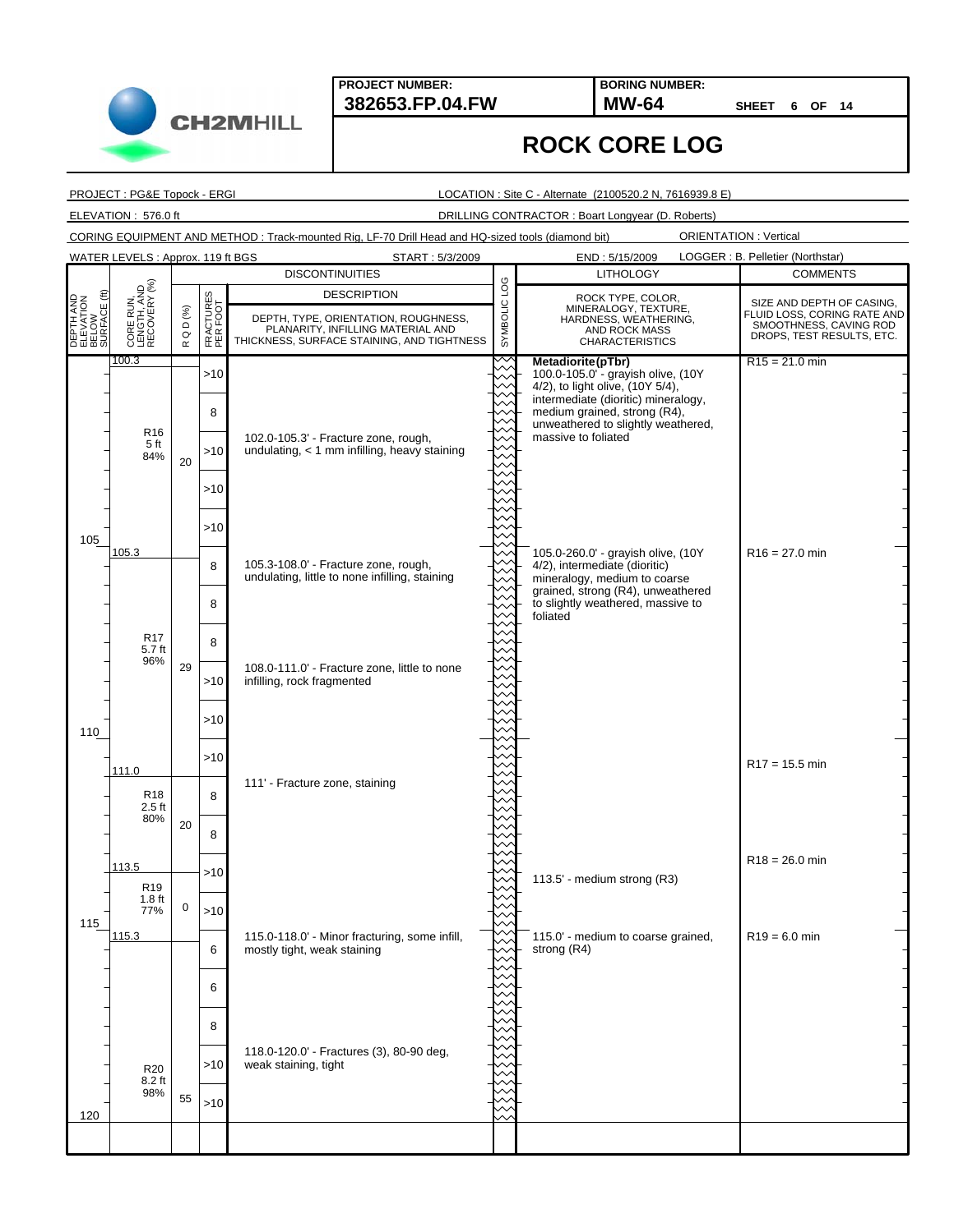**BORING NUMBER:**

**SHEET 6 OF 14**

#### **ROCK CORE LOG**

PROJECT : PG&E Topock - ERGI

LOCATION : Site C - Alternate (2100520.2 N, 7616939.8 E)

ELEVATION : 576.0 ft DRILLING CONTRACTOR : Boart Longyear (D. Roberts)

CORING EQUIPMENT AND METHOD : Track-mounted Rig, LF-70 Drill Head and HQ-sized tools (diamond bit)

|                                                 | WATER LEVELS: Approx. 119 ft BGS              |                              |                       | START: 5/3/2009                                                                                                                               |              | END: 5/15/2009                                                                                                       | LOGGER : B. Pelletier (Northstar)                                                                               |
|-------------------------------------------------|-----------------------------------------------|------------------------------|-----------------------|-----------------------------------------------------------------------------------------------------------------------------------------------|--------------|----------------------------------------------------------------------------------------------------------------------|-----------------------------------------------------------------------------------------------------------------|
|                                                 |                                               |                              |                       | <b>DISCONTINUITIES</b>                                                                                                                        |              | <b>LITHOLOGY</b>                                                                                                     | <b>COMMENTS</b>                                                                                                 |
| DEPTH AND<br>ELEVATION<br>BELOW<br>SURFACE (ft) | CORE RUN,<br>LENGTH, AND<br>RECOVERY (%)      | D (%)<br>$\circ$<br>$\simeq$ | FRACTURES<br>PER FOOT | <b>DESCRIPTION</b><br>DEPTH, TYPE, ORIENTATION, ROUGHNESS,<br>PLANARITY, INFILLING MATERIAL AND<br>THICKNESS, SURFACE STAINING, AND TIGHTNESS | SYMBOLIC LOG | ROCK TYPE, COLOR,<br>MINERALOGY, TEXTURE,<br>HARDNESS, WEATHERING,<br><b>AND ROCK MASS</b><br><b>CHARACTERISTICS</b> | SIZE AND DEPTH OF CASING,<br>FLUID LOSS, CORING RATE AND<br>SMOOTHNESS, CAVING ROD<br>DROPS, TEST RESULTS, ETC. |
|                                                 | 100.3                                         |                              | >10                   |                                                                                                                                               |              | Metadiorite(pTbr)<br>100.0-105.0"- grayish olive, (10Y<br>4/2), to light olive, (10Y 5/4),                           | $R15 = 21.0$ min                                                                                                |
|                                                 |                                               |                              | 8                     |                                                                                                                                               |              | intermediate (dioritic) mineralogy,<br>medium grained, strong (R4),<br>unweathered to slightly weathered,            |                                                                                                                 |
|                                                 | R <sub>16</sub><br>5 ft<br>84%                | 20                           | >10                   | 102.0-105.3' - Fracture zone, rough,<br>undulating, $<$ 1 mm infilling, heavy staining                                                        |              | massive to foliated                                                                                                  |                                                                                                                 |
|                                                 |                                               |                              | >10                   |                                                                                                                                               |              |                                                                                                                      |                                                                                                                 |
| 105                                             |                                               |                              | >10                   |                                                                                                                                               |              |                                                                                                                      |                                                                                                                 |
|                                                 | 105.3                                         |                              | 8                     | 105.3-108.0' - Fracture zone, rough,<br>undulating, little to none infilling, staining                                                        |              | 105.0-260.0' - grayish olive, (10Y<br>4/2), intermediate (dioritic)<br>mineralogy, medium to coarse                  | $R16 = 27.0$ min                                                                                                |
|                                                 |                                               |                              | 8                     |                                                                                                                                               |              | grained, strong (R4), unweathered<br>to slightly weathered, massive to<br>foliated                                   |                                                                                                                 |
|                                                 | R <sub>17</sub><br>5.7 ft<br>96%              |                              | 8                     |                                                                                                                                               |              |                                                                                                                      |                                                                                                                 |
|                                                 |                                               | 29                           | >10                   | 108.0-111.0' - Fracture zone, little to none<br>infilling, rock fragmented                                                                    |              |                                                                                                                      |                                                                                                                 |
| 110                                             |                                               |                              | >10                   |                                                                                                                                               |              |                                                                                                                      |                                                                                                                 |
|                                                 | 111.0                                         |                              | >10                   | 111' - Fracture zone, staining                                                                                                                |              |                                                                                                                      | $R17 = 15.5$ min                                                                                                |
|                                                 | R <sub>18</sub><br>$2.5$ ft<br>80%            |                              | 8                     |                                                                                                                                               |              |                                                                                                                      |                                                                                                                 |
|                                                 |                                               | 20                           | 8                     |                                                                                                                                               |              |                                                                                                                      | $R18 = 26.0$ min                                                                                                |
|                                                 | 113.5<br>R <sub>19</sub><br>1.8 <sub>ft</sub> |                              | >10                   |                                                                                                                                               |              | 113.5' - medium strong (R3)                                                                                          |                                                                                                                 |
| 115                                             | 77%<br>115.3                                  | 0                            | >10                   | 115.0-118.0' - Minor fracturing, some infill,                                                                                                 |              | 115.0' - medium to coarse grained,                                                                                   | $R19 = 6.0$ min                                                                                                 |
|                                                 |                                               |                              | 6                     | mostly tight, weak staining                                                                                                                   |              | strong (R4)                                                                                                          |                                                                                                                 |
|                                                 |                                               |                              | 6                     |                                                                                                                                               |              |                                                                                                                      |                                                                                                                 |
|                                                 |                                               |                              | 8                     | 118.0-120.0' - Fractures (3), 80-90 deg,                                                                                                      |              |                                                                                                                      |                                                                                                                 |
|                                                 | <b>R20</b><br>$8.2$ ft<br>98%                 | 55                           | >10<br>>10            | weak staining, tight                                                                                                                          |              |                                                                                                                      |                                                                                                                 |
| 120                                             |                                               |                              |                       |                                                                                                                                               |              |                                                                                                                      |                                                                                                                 |
|                                                 |                                               |                              |                       |                                                                                                                                               |              |                                                                                                                      |                                                                                                                 |

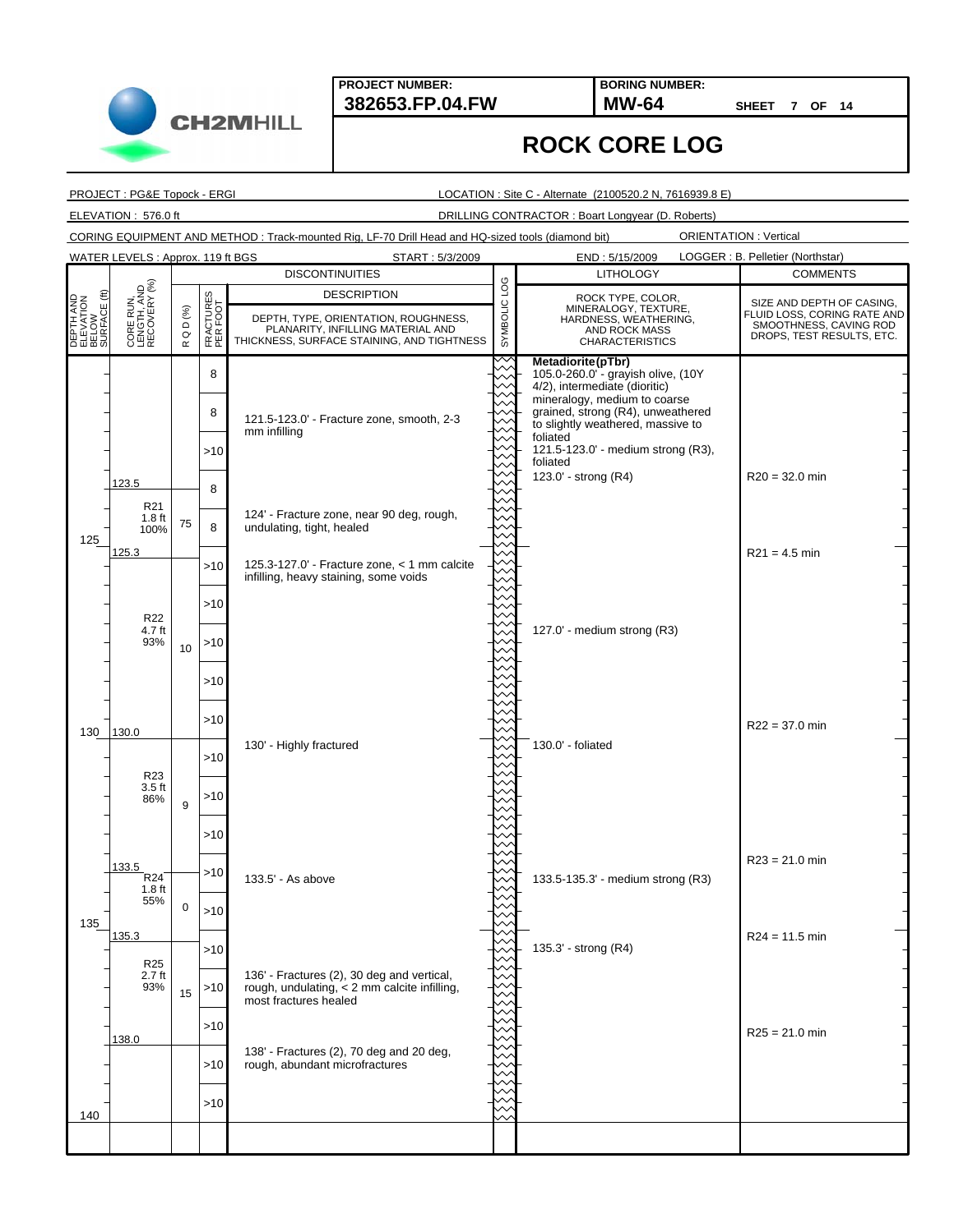**BORING NUMBER:**

**SHEET 7 OF 14**

ORIENTATION : Vertical

## **ROCK CORE LOG**

PROJECT : PG&E Topock - ERGI

LOCATION : Site C - Alternate (2100520.2 N, 7616939.8 E)

ELEVATION : 576.0 ft DRILLING CONTRACTOR : Boart Longyear (D. Roberts)

CORING EQUIPMENT AND METHOD : Track-mounted Rig, LF-70 Drill Head and HQ-sized tools (diamond bit)

121.5-123.0' - Fracture zone, smooth, 2-3 mm infilling 124' - Fracture zone, near 90 deg, rough, undulating, tight, healed 125.3-127.0' - Fracture zone, < 1 mm calcite infilling, heavy staining, some voids 130' - Highly fractured 133.5' - As above 136' - Fractures (2), 30 deg and vertical, rough, undulating, < 2 mm calcite infilling, most fractures healed 138' - Fractures (2), 70 deg and 20 deg, rough, abundant microfractures 123.5 125.3 130<sub>130.0</sub> 133.5 135.3 138.0 75 10 9 0 15 **Metadiorite(pTbr)** 105.0-260.0' - grayish olive, (10Y 4/2), intermediate (dioritic) mineralogy, medium to coarse grained, strong (R4), unweathered to slightly weathered, massive to foliated 121.5-123.0' - medium strong (R3), foliated 123.0' - strong (R4) 127.0' - medium strong (R3) 130.0' - foliated 133.5-135.3' - medium strong (R3) 135.3' - strong (R4) R20 = 32.0 min  $R21 = 4.5$  min R22 = 37.0 min  $R23 = 21.0$  min R24 = 11.5 min  $R25 = 21.0$  min 8 8 >10 8 8 >10 >10 >10 >10 >10 >10 >10 >10 >10 >10 >10 >10 >10 >10 >10 **DESCRIPTION<br>CONGRESS PROTECTS CONGRESS, PLANARITY, INFILLING MATERIAL AND<br>BELOW BELOW BELOW BELOW DEPTH, TYPE, ORIENTATION, ROUGHNESS, PLANARITY, INFILLING MATERIAL AND<br>BELOW BELOW BELOW BELOW PLANARITY, INFILLING MATERIA** THICKNESS, SURFACE STAINING, AND TIGHTNESS DESCRIPTION R Q D (%) FRACTURES PER FOOT START : 5/3/2009 END : 5/15/2009 125 135 140 LOGGER : B. Pelletier (Northstar) **DISCONTINUITIES COMMENTS** SIZE AND DEPTH OF CASING, FLUID LOSS, CORING RATE AND SMOOTHNESS, CAVING ROD DROPS, TEST RESULTS, ETC. LITHOLOGY CORE RUN, LENGTH, AND RECOVERY (%) ROCK TYPE, COLOR, MINERALOGY, TEXTURE, HARDNESS, WEATHERING, AND ROCK MASS CHARACTERISTICS WATER LEVELS : Approx. 119 ft BGS R22 4.7 ft 93% R23 3.5 ft 86%  $R24$ 1.8 ft 55% R25 2.7 ft 93% R21 1.8 ft 100%

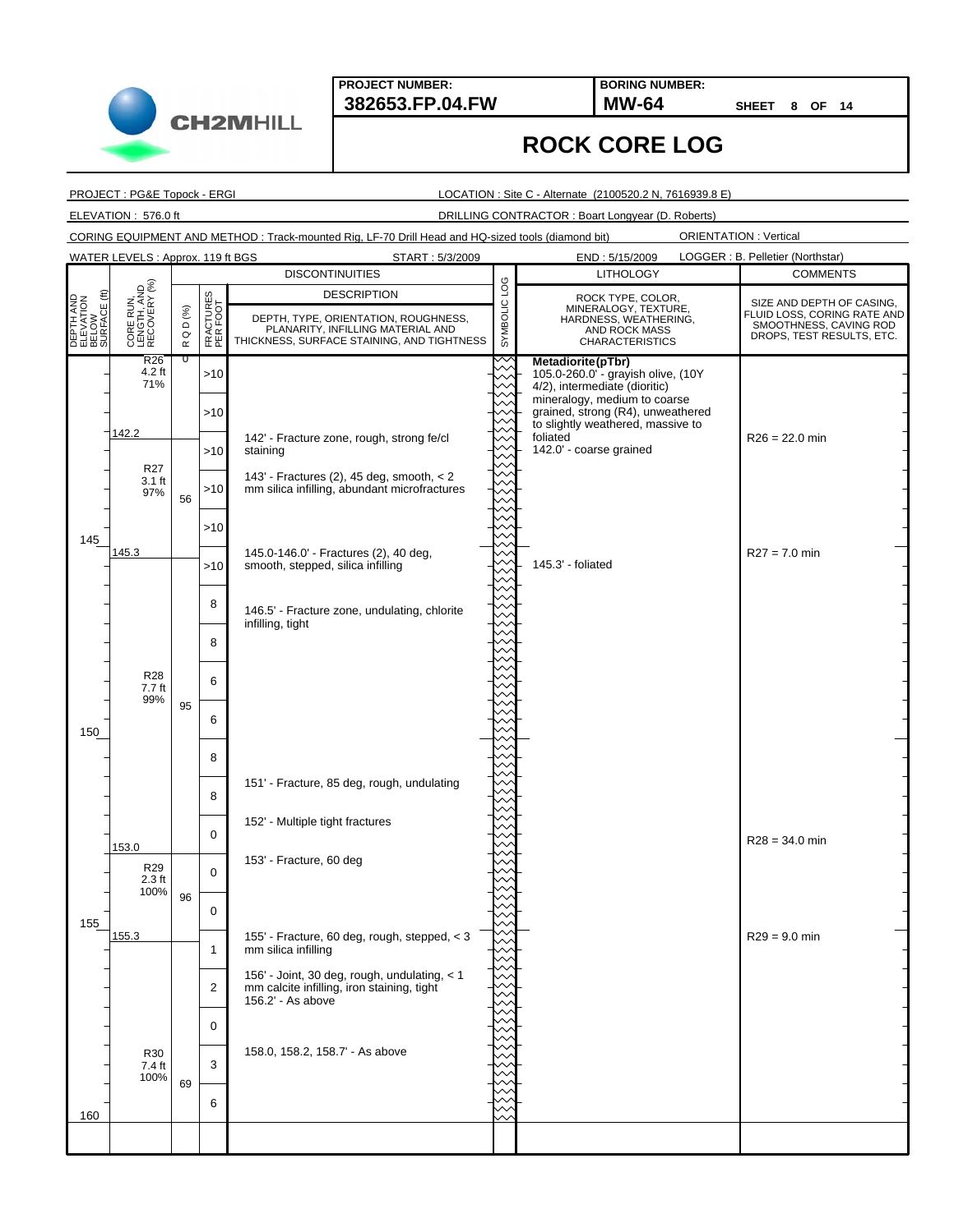**382653.FP.04.FW MW-64 BORING NUMBER:**

**SHEET 8 OF 14**

## **ROCK CORE LOG**

PROJECT : PG&E Topock - ERGI

**CH2MHILL** 

WATER LEVELS : Approx. 119 ft BGS

LOCATION : Site C - Alternate (2100520.2 N, 7616939.8 E)

ELEVATION : 576.0 ft DRILLING CONTRACTOR : Boart Longyear (D. Roberts)

CORING EQUIPMENT AND METHOD : Track-mounted Rig, LF-70 Drill Head and HQ-sized tools (diamond bit)

|                                                 |                                          |                          |                                      | <b>DISCONTINUITIES</b>                                                                                                  |              | <b>LITHOLOGY</b>                                                                                       | <b>COMMENTS</b>                                                                    |
|-------------------------------------------------|------------------------------------------|--------------------------|--------------------------------------|-------------------------------------------------------------------------------------------------------------------------|--------------|--------------------------------------------------------------------------------------------------------|------------------------------------------------------------------------------------|
|                                                 |                                          |                          |                                      | <b>DESCRIPTION</b>                                                                                                      |              | ROCK TYPE, COLOR,                                                                                      | SIZE AND DEPTH OF CASING,                                                          |
| DEPTH AND<br>ELEVATION<br>BELOW<br>SURFACE (ft) | CORE RUN,<br>LENGTH, AND<br>RECOVERY (%) | Q D $( \% )$<br>$\simeq$ | <b>CTURES</b><br>RFOOT<br>EXE<br>PER | DEPTH, TYPE, ORIENTATION, ROUGHNESS,<br>PLANARITY, INFILLING MATERIAL AND<br>THICKNESS, SURFACE STAINING, AND TIGHTNESS | SYMBOLIC LOG | MINERALOGY, TEXTURE,<br>HARDNESS, WEATHERING,<br>AND ROCK MASS<br><b>CHARACTERISTICS</b>               | FLUID LOSS, CORING RATE AND<br>SMOOTHNESS, CAVING ROD<br>DROPS, TEST RESULTS, ETC. |
|                                                 | R26<br>4.2 ft<br>71%                     | τ                        | >10                                  |                                                                                                                         |              | Metadiorite(pTbr)<br>105.0-260.0"- grayish olive, (10Y<br>4/2), intermediate (dioritic)                |                                                                                    |
|                                                 |                                          |                          | >10                                  |                                                                                                                         |              | mineralogy, medium to coarse<br>grained, strong (R4), unweathered<br>to slightly weathered, massive to |                                                                                    |
|                                                 | 142.2<br>R <sub>27</sub>                 |                          | >10                                  | 142' - Fracture zone, rough, strong fe/cl<br>staining                                                                   |              | foliated<br>142.0' - coarse grained                                                                    | $R26 = 22.0$ min                                                                   |
|                                                 | $3.1$ ft<br>97%                          | 56                       | >10                                  | 143' - Fractures (2), 45 deg, smooth, $<$ 2<br>mm silica infilling, abundant microfractures                             |              |                                                                                                        |                                                                                    |
| 145                                             | 145.3                                    |                          | >10                                  |                                                                                                                         |              |                                                                                                        | $R27 = 7.0$ min                                                                    |
|                                                 |                                          |                          | >10                                  | 145.0-146.0' - Fractures (2), 40 deg,<br>smooth, stepped, silica infilling                                              |              | 145.3' - foliated                                                                                      |                                                                                    |
|                                                 |                                          |                          | 8                                    | 146.5' - Fracture zone, undulating, chlorite<br>infilling, tight                                                        |              |                                                                                                        |                                                                                    |
|                                                 |                                          |                          | 8                                    |                                                                                                                         |              |                                                                                                        |                                                                                    |
|                                                 | <b>R28</b><br>7.7 ft<br>99%              | 95                       | 6                                    |                                                                                                                         |              |                                                                                                        |                                                                                    |
| 150                                             |                                          |                          | 6                                    |                                                                                                                         |              |                                                                                                        |                                                                                    |
|                                                 |                                          |                          | 8<br>8                               | 151' - Fracture, 85 deg, rough, undulating                                                                              |              |                                                                                                        |                                                                                    |
|                                                 |                                          |                          | $\mathbf 0$                          | 152' - Multiple tight fractures                                                                                         |              |                                                                                                        |                                                                                    |
|                                                 | 153.0<br>R <sub>29</sub>                 |                          | $\Omega$                             | 153' - Fracture, 60 deg                                                                                                 |              |                                                                                                        | $R28 = 34.0$ min                                                                   |
|                                                 | $2.3$ ft<br>100%                         | 96                       | $\mathbf 0$                          |                                                                                                                         |              |                                                                                                        |                                                                                    |
| 155                                             | 155.3                                    |                          | $\mathbf{1}$                         | 155' - Fracture, 60 deg, rough, stepped, < 3<br>mm silica infilling                                                     |              |                                                                                                        | $R29 = 9.0$ min                                                                    |
|                                                 |                                          |                          | $\overline{2}$                       | 156' - Joint, 30 deg, rough, undulating, < 1<br>mm calcite infilling, iron staining, tight<br>156.2' - As above         |              |                                                                                                        |                                                                                    |
|                                                 |                                          |                          | 0                                    |                                                                                                                         |              |                                                                                                        |                                                                                    |
|                                                 | <b>R30</b><br>7.4 ft<br>100%             | 69                       | 3                                    | 158.0, 158.2, 158.7' - As above                                                                                         |              |                                                                                                        |                                                                                    |
| 160                                             |                                          |                          | 6                                    |                                                                                                                         |              |                                                                                                        |                                                                                    |
|                                                 |                                          |                          |                                      |                                                                                                                         |              |                                                                                                        |                                                                                    |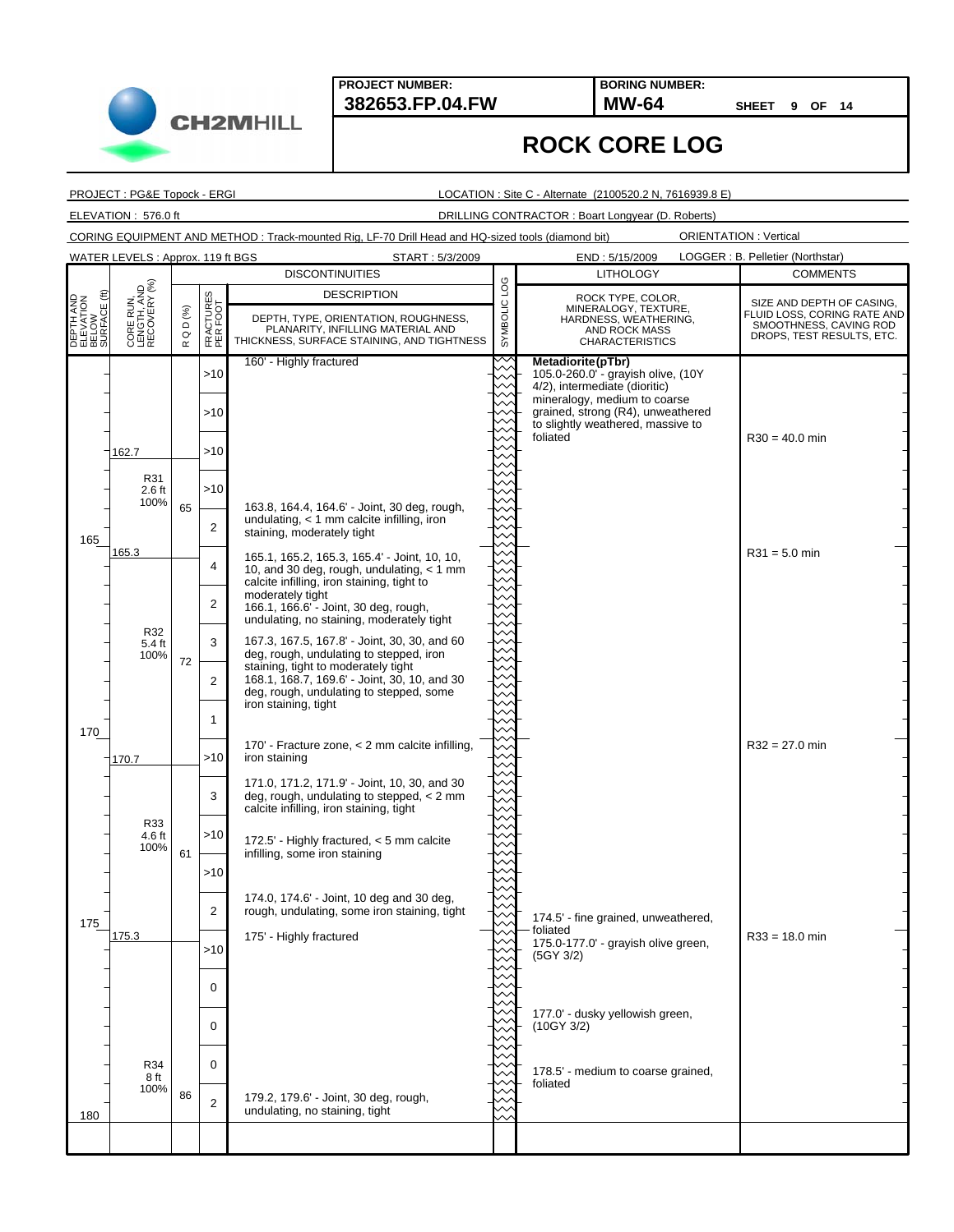**BORING NUMBER:**

**SHEET 9 OF 14**

#### **ROCK CORE LOG**

PROJECT : PG&E Topock - ERGI

**CH2MHILL** 

LOCATION : Site C - Alternate (2100520.2 N, 7616939.8 E)

ELEVATION : 576.0 ft DRILLING CONTRACTOR : Boart Longyear (D. Roberts)

CORING EQUIPMENT AND METHOD : Track-mounted Rig, LF-70 Drill Head and HQ-sized tools (diamond bit)

ORIENTATION : Vertical

|                                                      | WATER LEVELS: Approx. 119 ft BGS         |                             |                       | START: 5/3/2009                                                                                                                                                                                                        |                 | END: 5/15/2009                                                                                                       | LOGGER : B. Pelletier (Northstar)                                                                               |
|------------------------------------------------------|------------------------------------------|-----------------------------|-----------------------|------------------------------------------------------------------------------------------------------------------------------------------------------------------------------------------------------------------------|-----------------|----------------------------------------------------------------------------------------------------------------------|-----------------------------------------------------------------------------------------------------------------|
|                                                      |                                          |                             |                       | <b>DISCONTINUITIES</b>                                                                                                                                                                                                 |                 | <b>LITHOLOGY</b>                                                                                                     | <b>COMMENTS</b>                                                                                                 |
| €<br>DEPTH AND<br>ELEVATION<br>BELOW<br>SURFACE (ft) | CORE RUN,<br>LENGTH, AND<br>RECOVERY (%) | D(%)<br>$\circ$<br>$\simeq$ | FRACTURES<br>PER FOOT | <b>DESCRIPTION</b><br>DEPTH, TYPE, ORIENTATION, ROUGHNESS,<br>PLANARITY, INFILLING MATERIAL AND<br>THICKNESS, SURFACE STAINING, AND TIGHTNESS                                                                          | POT<br>SYMBOLIC | ROCK TYPE, COLOR,<br>MINERALOGY, TEXTURE,<br>HARDNESS, WEATHERING,<br><b>AND ROCK MASS</b><br><b>CHARACTERISTICS</b> | SIZE AND DEPTH OF CASING,<br>FLUID LOSS, CORING RATE AND<br>SMOOTHNESS, CAVING ROD<br>DROPS, TEST RESULTS, ETC. |
|                                                      |                                          |                             | >10                   | 160' - Highly fractured                                                                                                                                                                                                |                 | Metadiorite(pTbr)<br>105.0-260.0' - grayish olive, (10Y<br>4/2), intermediate (dioritic)                             |                                                                                                                 |
|                                                      |                                          |                             | >10                   |                                                                                                                                                                                                                        |                 | mineralogy, medium to coarse<br>grained, strong (R4), unweathered<br>to slightly weathered, massive to               |                                                                                                                 |
|                                                      | 162.7                                    |                             | >10                   |                                                                                                                                                                                                                        |                 | foliated                                                                                                             | $R30 = 40.0$ min                                                                                                |
|                                                      | R31<br>$2.6$ ft<br>100%                  | 65                          | >10                   | 163.8, 164.4, 164.6' - Joint, 30 deg, rough,                                                                                                                                                                           |                 |                                                                                                                      |                                                                                                                 |
| 165                                                  |                                          |                             | $\overline{2}$        | undulating, $<$ 1 mm calcite infilling, iron<br>staining, moderately tight                                                                                                                                             |                 |                                                                                                                      |                                                                                                                 |
|                                                      | 165.3                                    |                             | 4                     | 165.1, 165.2, 165.3, 165.4' - Joint, 10, 10,<br>10, and 30 deg, rough, undulating, $<$ 1 mm<br>calcite infilling, iron staining, tight to                                                                              |                 |                                                                                                                      | $R31 = 5.0$ min                                                                                                 |
|                                                      |                                          |                             | $\overline{2}$        | moderately tight<br>166.1, 166.6' - Joint, 30 deg, rough,<br>undulating, no staining, moderately tight                                                                                                                 |                 |                                                                                                                      |                                                                                                                 |
|                                                      | R32<br>5.4 ft<br>100%                    | 72                          | 3                     | 167.3, 167.5, 167.8' - Joint, 30, 30, and 60<br>deg, rough, undulating to stepped, iron<br>staining, tight to moderately tight                                                                                         |                 |                                                                                                                      |                                                                                                                 |
|                                                      |                                          |                             | $\overline{2}$        | 168.1, 168.7, 169.6' - Joint, 30, 10, and 30<br>deg, rough, undulating to stepped, some<br>iron staining, tight                                                                                                        |                 |                                                                                                                      |                                                                                                                 |
| 170                                                  |                                          |                             | 1                     | 170' - Fracture zone, < 2 mm calcite infilling,                                                                                                                                                                        |                 |                                                                                                                      | $R32 = 27.0$ min                                                                                                |
|                                                      | 170.7                                    |                             | >10                   | iron staining                                                                                                                                                                                                          |                 |                                                                                                                      |                                                                                                                 |
|                                                      | R33                                      |                             | 3                     | 171.0, 171.2, 171.9' - Joint, 10, 30, and 30<br>deg, rough, undulating to stepped, $<$ 2 mm<br>calcite infilling, iron staining, tight<br>172.5' - Highly fractured, $<$ 5 mm calcite<br>infilling, some iron staining |                 |                                                                                                                      |                                                                                                                 |
|                                                      | 4.6 ft<br>100%                           | 61                          | >10                   |                                                                                                                                                                                                                        |                 |                                                                                                                      |                                                                                                                 |
|                                                      |                                          |                             | >10                   | 174.0, 174.6' - Joint, 10 deg and 30 deg,                                                                                                                                                                              |                 |                                                                                                                      |                                                                                                                 |
| 175                                                  | 175.3                                    |                             | 2                     | rough, undulating, some iron staining, tight<br>175' - Highly fractured                                                                                                                                                |                 | 174.5' - fine grained, unweathered,<br>foliated<br>175.0-177.0' - grayish olive green,                               | $R33 = 18.0$ min                                                                                                |
|                                                      |                                          |                             | >10                   |                                                                                                                                                                                                                        |                 | (5GY 3/2)                                                                                                            |                                                                                                                 |
|                                                      |                                          |                             | 0                     |                                                                                                                                                                                                                        |                 | 177.0' - dusky yellowish green,                                                                                      |                                                                                                                 |
|                                                      |                                          |                             | $\mathbf 0$           |                                                                                                                                                                                                                        |                 | (10GY 3/2)                                                                                                           |                                                                                                                 |
|                                                      | R34<br>8 ft<br>100%                      | 86                          | $\mathbf 0$           | 179.2, 179.6' - Joint, 30 deg, rough,                                                                                                                                                                                  |                 | 178.5' - medium to coarse grained,<br>foliated                                                                       |                                                                                                                 |
| 180                                                  |                                          |                             | $\overline{2}$        | undulating, no staining, tight                                                                                                                                                                                         |                 |                                                                                                                      |                                                                                                                 |
|                                                      |                                          |                             |                       |                                                                                                                                                                                                                        |                 |                                                                                                                      |                                                                                                                 |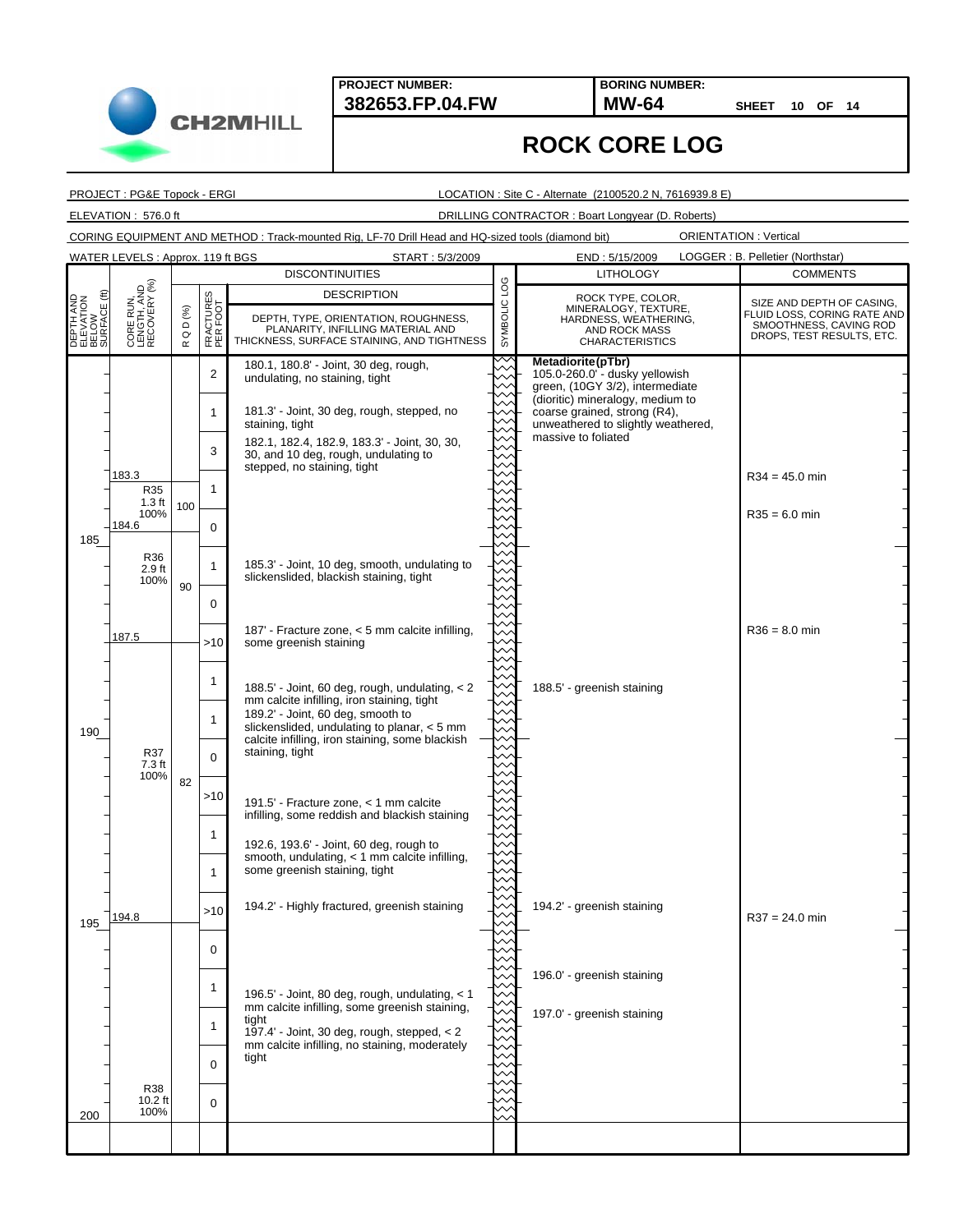**BORING NUMBER:**

**SHEET 10 OF 14**

ORIENTATION : Vertical

## **ROCK CORE LOG**

PROJECT : PG&E Topock - ERGI

LOCATION : Site C - Alternate (2100520.2 N, 7616939.8 E)

ELEVATION : 576.0 ft DRILLING CONTRACTOR : Boart Longyear (D. Roberts)

CORING EQUIPMENT AND METHOD : Track-mounted Rig, LF-70 Drill Head and HQ-sized tools (diamond bit)

180.1, 180.8' - Joint, 30 deg, rough, undulating, no staining, tight 181.3' - Joint, 30 deg, rough, stepped, no staining, tight 182.1, 182.4, 182.9, 183.3' - Joint, 30, 30, 30, and 10 deg, rough, undulating to stepped, no staining, tight 185.3' - Joint, 10 deg, smooth, undulating to slickenslided, blackish staining, tight 187' - Fracture zone, < 5 mm calcite infilling, some greenish staining 188.5' - Joint, 60 deg, rough, undulating, < 2 mm calcite infilling, iron staining, tight 189.2' - Joint, 60 deg, smooth to slickenslided, undulating to planar, < 5 mm calcite infilling, iron staining, some blackish staining, tight 191.5' - Fracture zone, < 1 mm calcite infilling, some reddish and blackish staining 192.6, 193.6' - Joint, 60 deg, rough to smooth, undulating, < 1 mm calcite infilling, some greenish staining, tight 194.2' - Highly fractured, greenish staining 196.5' - Joint, 80 deg, rough, undulating, < 1 mm calcite infilling, some greenish staining, tight 197.4' - Joint, 30 deg, rough, stepped, < 2 mm calcite infilling, no staining, moderately tight 183.3 184.6 187.5 194.8 100 90 82 **Metadiorite(pTbr)** 105.0-260.0' - dusky yellowish green, (10GY 3/2), intermediate (dioritic) mineralogy, medium to coarse grained, strong (R4), unweathered to slightly weathered, massive to foliated 188.5' - greenish staining 194.2' - greenish staining 196.0' - greenish staining 197.0' - greenish staining  $R34 = 45.0$  min  $R35 = 6.0$  min  $R36 = 8.0$  min  $R37 = 24.0$  min 2 1 3 1 0 1 0  $>10$ 1 1  $\Omega$ >10 1 1 >10 0 1 1 0 0 **DESCRIPTION<br>CONGRESS PROTECTS CONGRESS, PLANARITY, INFILLING MATERIAL AND<br>BELOW BELOW BELOW BELOW DEPTH, TYPE, ORIENTATION, ROUGHNESS, PLANARITY, INFILLING MATERIAL AND<br>BELOW BELOW BELOW BELOW PLANARITY, INFILLING MATERIA** THICKNESS, SURFACE STAINING, AND TIGHTNESS DESCRIPTION R Q D (%) FRACTURES PER FOOT START : 5/3/2009 END : 5/15/2009 185 190 195 200 LOGGER : B. Pelletier (Northstar) **DISCONTINUITIES COMMENTS** SIZE AND DEPTH OF CASING, FLUID LOSS, CORING RATE AND SMOOTHNESS, CAVING ROD DROPS, TEST RESULTS, ETC. LITHOLOGY CORE RUN, LENGTH, AND RECOVERY (%) ROCK TYPE, COLOR, MINERALOGY, TEXTURE HARDNESS, WEATHERING, AND ROCK MASS CHARACTERISTICS WATER LEVELS : Approx. 119 ft BGS R36 2.9 ft 100% R37 7.3 ft 100% R38 10.2 ft 100% R35 1.3 ft 100%

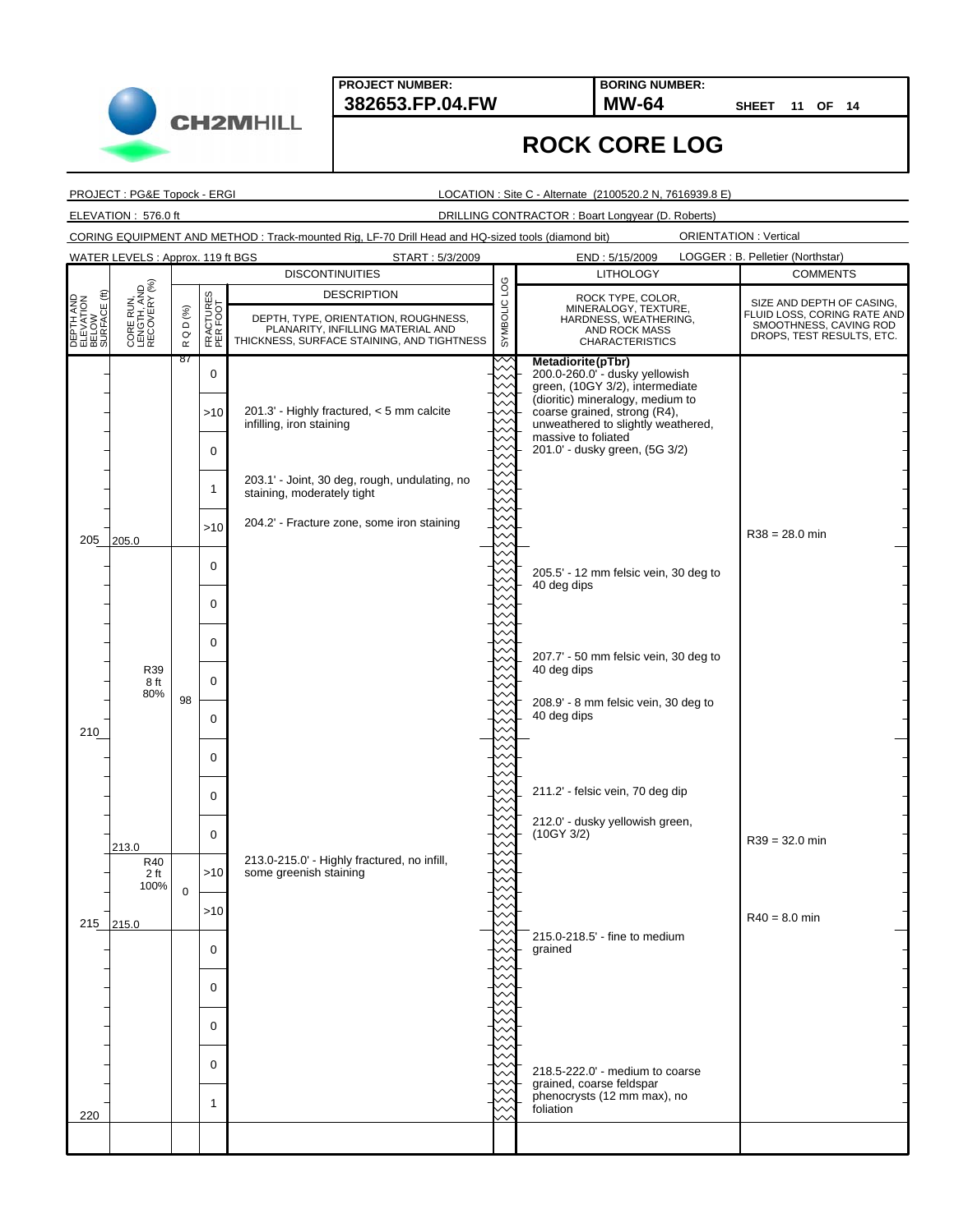**382653.FP.04.FW MW-64 BORING NUMBER:**

**SHEET 11 OF 14**

## **ROCK CORE LOG**

PROJECT : PG&E Topock - ERGI

**CH2MHILL** 

LOCATION : Site C - Alternate (2100520.2 N, 7616939.8 E)

ELEVATION : 576.0 ft DRILLING CONTRACTOR : Boart Longyear (D. Roberts)

CORING EQUIPMENT AND METHOD : Track-mounted Rig, LF-70 Drill Head and HQ-sized tools (diamond bit)

ORIENTATION : Vertical

|                                                 | WATER LEVELS: Approx. 119 ft BGS         |                      |                              | START: 5/3/2009                                                                                                                               |              | LOGGER : B. Pelletier (Northstar)<br>END: 5/15/2009                                                                                                                                                                                                       |                                                                                                                 |
|-------------------------------------------------|------------------------------------------|----------------------|------------------------------|-----------------------------------------------------------------------------------------------------------------------------------------------|--------------|-----------------------------------------------------------------------------------------------------------------------------------------------------------------------------------------------------------------------------------------------------------|-----------------------------------------------------------------------------------------------------------------|
|                                                 |                                          |                      |                              | <b>DISCONTINUITIES</b>                                                                                                                        |              | <b>LITHOLOGY</b>                                                                                                                                                                                                                                          | <b>COMMENTS</b>                                                                                                 |
| DEPTH AND<br>ELEVATION<br>BELOW<br>SURFACE (ft) | CORE RUN,<br>LENGTH, AND<br>RECOVERY (%) | QD $(%)$<br>$\simeq$ | <b>CTURES</b><br>EŘEK<br>PER | <b>DESCRIPTION</b><br>DEPTH, TYPE, ORIENTATION, ROUGHNESS,<br>PLANARITY, INFILLING MATERIAL AND<br>THICKNESS, SURFACE STAINING, AND TIGHTNESS | SYMBOLIC LOG | ROCK TYPE, COLOR,<br>MINERALOGY, TEXTURE,<br>HARDNESS, WEATHERING,<br>AND ROCK MASS<br><b>CHARACTERISTICS</b>                                                                                                                                             | SIZE AND DEPTH OF CASING,<br>FLUID LOSS, CORING RATE AND<br>SMOOTHNESS, CAVING ROD<br>DROPS, TEST RESULTS, ETC. |
|                                                 |                                          | 87                   | $\mathbf 0$<br>>10<br>0      | 201.3' - Highly fractured, < 5 mm calcite<br>infilling, iron staining                                                                         |              | Metadiorite(pTbr)<br>200.0-260.0" - dusky yellowish<br>green, (10GY 3/2), intermediate<br>(dioritic) mineralogy, medium to<br>coarse grained, strong (R4),<br>unweathered to slightly weathered,<br>massive to foliated<br>201.0' - dusky green, (5G 3/2) |                                                                                                                 |
|                                                 |                                          |                      | 1<br>>10                     | 203.1' - Joint, 30 deg, rough, undulating, no<br>staining, moderately tight<br>204.2' - Fracture zone, some iron staining                     |              |                                                                                                                                                                                                                                                           |                                                                                                                 |
| 205                                             | 205.0                                    |                      | $\mathbf 0$                  |                                                                                                                                               |              | 205.5' - 12 mm felsic vein, 30 deg to<br>40 deg dips                                                                                                                                                                                                      | $R38 = 28.0$ min                                                                                                |
|                                                 |                                          |                      | 0<br>0                       |                                                                                                                                               |              | 207.7' - 50 mm felsic vein, 30 deg to                                                                                                                                                                                                                     |                                                                                                                 |
|                                                 | R39<br>8 ft<br>80%                       | 98                   | 0<br>0                       |                                                                                                                                               |              | 40 deg dips<br>208.9' - 8 mm felsic vein, 30 deg to<br>40 deg dips                                                                                                                                                                                        |                                                                                                                 |
| 210                                             |                                          |                      | 0                            |                                                                                                                                               |              |                                                                                                                                                                                                                                                           |                                                                                                                 |
|                                                 |                                          |                      | 0<br>$\mathbf 0$             |                                                                                                                                               |              | 211.2' - felsic vein, 70 deg dip<br>212.0' - dusky yellowish green,<br>(10GY 3/2)                                                                                                                                                                         | $R39 = 32.0$ min                                                                                                |
|                                                 | 213.0<br>R40<br>2 ft<br>100%             | $\mathbf 0$          | >10                          | 213.0-215.0' - Highly fractured, no infill,<br>some greenish staining                                                                         |              |                                                                                                                                                                                                                                                           |                                                                                                                 |
| 215                                             | 215.0                                    |                      | >10<br>U                     |                                                                                                                                               |              | 215.0-218.5' - fine to medium<br>grained                                                                                                                                                                                                                  | $R40 = 8.0$ min                                                                                                 |
|                                                 |                                          |                      | $\Omega$<br>0                |                                                                                                                                               |              |                                                                                                                                                                                                                                                           |                                                                                                                 |
|                                                 |                                          |                      | 0                            |                                                                                                                                               |              | 218.5-222.0' - medium to coarse<br>grained, coarse feldspar                                                                                                                                                                                               |                                                                                                                 |
| 220                                             |                                          |                      | 1                            |                                                                                                                                               |              | phenocrysts (12 mm max), no<br>foliation                                                                                                                                                                                                                  |                                                                                                                 |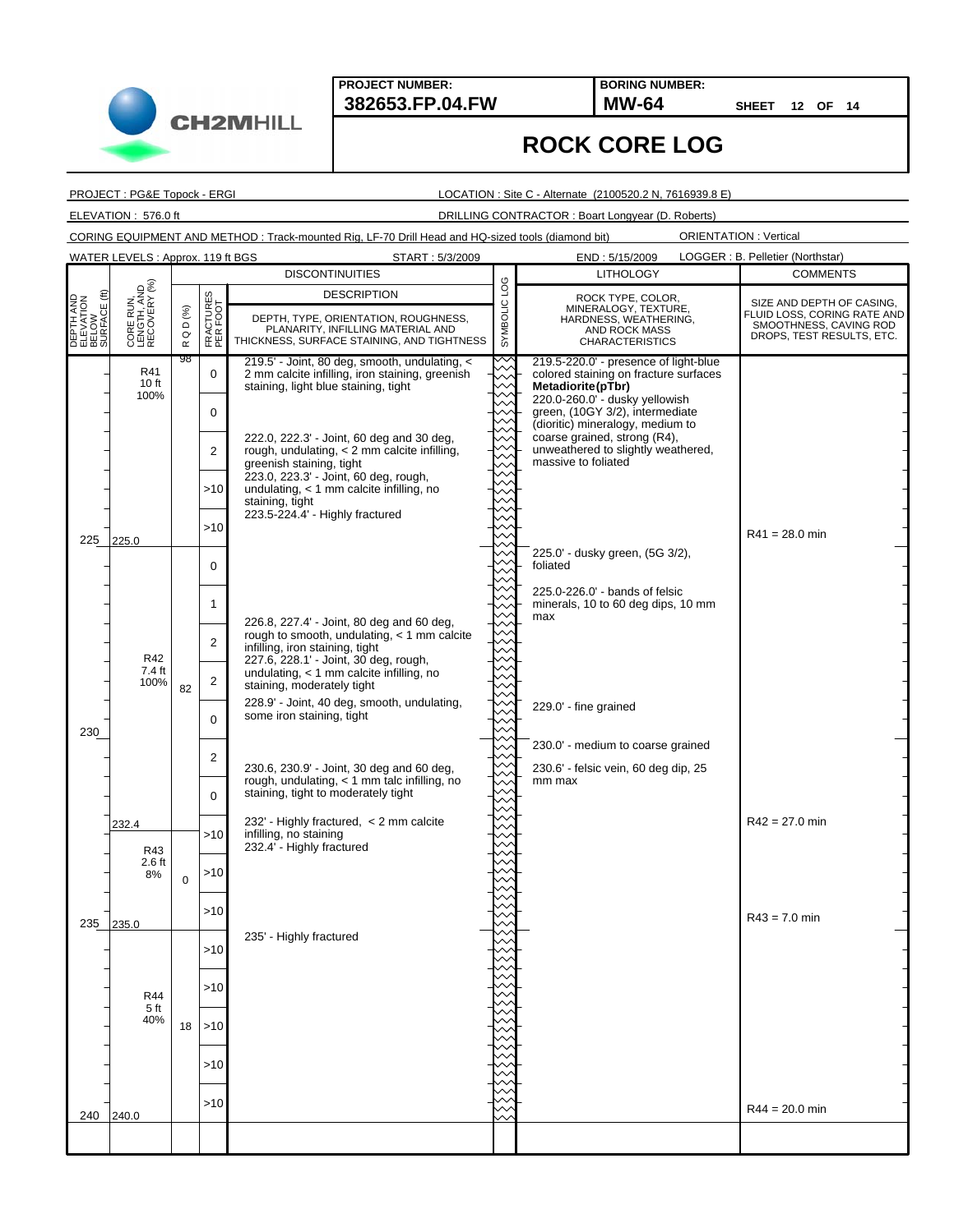START: 5/3/2009

**382653.FP.04.FW MW-64 BORING NUMBER:**

**SHEET 12 OF 14**

## **ROCK CORE LOG**

PROJECT : PG&E Topock - ERGI

**CH2MHILL** 

WATER LEVELS : Approx. 119 ft BGS

#### LOCATION : Site C - Alternate (2100520.2 N, 7616939.8 E)

ELEVATION : 576.0 ft DRILLING CONTRACTOR : Boart Longyear (D. Roberts)

CORING EQUIPMENT AND METHOD : Track-mounted Rig, LF-70 Drill Head and HQ-sized tools (diamond bit)

|                                                 |                                          | <b>DISCONTINUITIES</b>        |                                        |                                                                                                                                                                                                                                                                    |                            | <b>LITHOLOGY</b>                                                                                              | <b>COMMENTS</b>                                                                                                 |
|-------------------------------------------------|------------------------------------------|-------------------------------|----------------------------------------|--------------------------------------------------------------------------------------------------------------------------------------------------------------------------------------------------------------------------------------------------------------------|----------------------------|---------------------------------------------------------------------------------------------------------------|-----------------------------------------------------------------------------------------------------------------|
|                                                 | CORE RUN,<br>LENGTH, AND<br>RECOVERY (%) | D (%)<br>$\circ$<br>$\propto$ |                                        | <b>DESCRIPTION</b>                                                                                                                                                                                                                                                 | $\overline{0}$<br>SYMBOLIC | ROCK TYPE, COLOR,<br>MINERALOGY, TEXTURE,<br>HARDNESS, WEATHERING,<br>AND ROCK MASS<br><b>CHARACTERISTICS</b> | SIZE AND DEPTH OF CASING,<br>FLUID LOSS, CORING RATE AND<br>SMOOTHNESS, CAVING ROD<br>DROPS, TEST RESULTS, ETC. |
| DEPTH AND<br>ELEVATION<br>BELOW<br>SURFACE (ft) |                                          |                               | <b>CTURES</b><br>R FOOT<br>FRAC<br>PER | DEPTH, TYPE, ORIENTATION, ROUGHNESS,<br>PLANARITY, INFILLING MATERIAL AND<br>THICKNESS, SURFACE STAINING, AND TIGHTNESS                                                                                                                                            |                            |                                                                                                               |                                                                                                                 |
|                                                 | R41<br>10 ft<br>100%                     | 98                            | $\mathbf 0$                            | 219.5' - Joint, 80 deg, smooth, undulating, <<br>2 mm calcite infilling, iron staining, greenish<br>staining, light blue staining, tight                                                                                                                           |                            | 219.5-220.0' - presence of light-blue<br>colored staining on fracture surfaces<br>Metadiorite (pTbr)          |                                                                                                                 |
| 225                                             |                                          |                               | 0                                      | 222.0, 222.3' - Joint, 60 deg and 30 deg,<br>rough, undulating, < 2 mm calcite infilling,<br>greenish staining, tight<br>223.0, 223.3' - Joint, 60 deg, rough,<br>undulating, $<$ 1 mm calcite infilling, no<br>staining, tight<br>223.5-224.4' - Highly fractured |                            | 220.0-260.0' - dusky yellowish<br>green, (10GY 3/2), intermediate<br>(dioritic) mineralogy, medium to         |                                                                                                                 |
|                                                 |                                          |                               | 2                                      |                                                                                                                                                                                                                                                                    |                            | coarse grained, strong (R4),<br>unweathered to slightly weathered,<br>massive to foliated                     |                                                                                                                 |
|                                                 | 225.0                                    |                               | >10                                    |                                                                                                                                                                                                                                                                    |                            |                                                                                                               |                                                                                                                 |
|                                                 |                                          |                               | >10                                    |                                                                                                                                                                                                                                                                    |                            |                                                                                                               | $R41 = 28.0$ min                                                                                                |
|                                                 | R42<br>7.4 ft<br>100%                    | 82                            | 0                                      |                                                                                                                                                                                                                                                                    |                            | 225.0' - dusky green, (5G 3/2),<br>foliated                                                                   |                                                                                                                 |
|                                                 |                                          |                               | $\mathbf{1}$                           | 226.8, 227.4' - Joint, 80 deg and 60 deg,                                                                                                                                                                                                                          |                            | 225.0-226.0' - bands of felsic<br>minerals, 10 to 60 deg dips, 10 mm<br>max                                   |                                                                                                                 |
|                                                 |                                          |                               | $\overline{2}$                         | rough to smooth, undulating, < 1 mm calcite<br>infilling, iron staining, tight<br>227.6, 228.1' - Joint, 30 deg, rough,                                                                                                                                            |                            |                                                                                                               |                                                                                                                 |
|                                                 |                                          |                               | $\overline{\mathbf{c}}$                | undulating, < 1 mm calcite infilling, no<br>staining, moderately tight                                                                                                                                                                                             |                            |                                                                                                               |                                                                                                                 |
| 230                                             |                                          |                               | $\Omega$                               | 228.9' - Joint, 40 deg, smooth, undulating,<br>some iron staining, tight                                                                                                                                                                                           |                            | 229.0' - fine grained                                                                                         |                                                                                                                 |
|                                                 |                                          |                               | 2                                      | 230.6, 230.9' - Joint, 30 deg and 60 deg,                                                                                                                                                                                                                          |                            | 230.0' - medium to coarse grained<br>230.6' - felsic vein, 60 deg dip, 25                                     |                                                                                                                 |
|                                                 |                                          |                               | $\Omega$                               | rough, undulating, < 1 mm talc infilling, no<br>staining, tight to moderately tight                                                                                                                                                                                |                            | mm max                                                                                                        |                                                                                                                 |
|                                                 | 232.4<br>R43<br>$2.6$ ft<br>8%           | $\mathbf 0$                   | >10                                    | 232' - Highly fractured, < 2 mm calcite<br>infilling, no staining                                                                                                                                                                                                  |                            |                                                                                                               | R42 = 27.0 min                                                                                                  |
|                                                 |                                          |                               | >10                                    | 232.4' - Highly fractured                                                                                                                                                                                                                                          |                            |                                                                                                               |                                                                                                                 |
|                                                 |                                          |                               | >10                                    |                                                                                                                                                                                                                                                                    |                            |                                                                                                               |                                                                                                                 |
| 235                                             | 235.0<br>R44<br>5 ft<br>40%              | 18                            | >10                                    | 235' - Highly fractured                                                                                                                                                                                                                                            |                            |                                                                                                               | $R43 = 7.0$ min                                                                                                 |
|                                                 |                                          |                               | $>10$                                  |                                                                                                                                                                                                                                                                    |                            |                                                                                                               |                                                                                                                 |
|                                                 |                                          |                               |                                        |                                                                                                                                                                                                                                                                    |                            |                                                                                                               |                                                                                                                 |
|                                                 |                                          |                               | >10                                    |                                                                                                                                                                                                                                                                    |                            |                                                                                                               |                                                                                                                 |
|                                                 |                                          |                               | >10                                    |                                                                                                                                                                                                                                                                    |                            |                                                                                                               |                                                                                                                 |
| 240                                             | 240.0                                    |                               | $>10$                                  |                                                                                                                                                                                                                                                                    |                            |                                                                                                               | $R44 = 20.0$ min                                                                                                |
|                                                 |                                          |                               |                                        |                                                                                                                                                                                                                                                                    |                            |                                                                                                               |                                                                                                                 |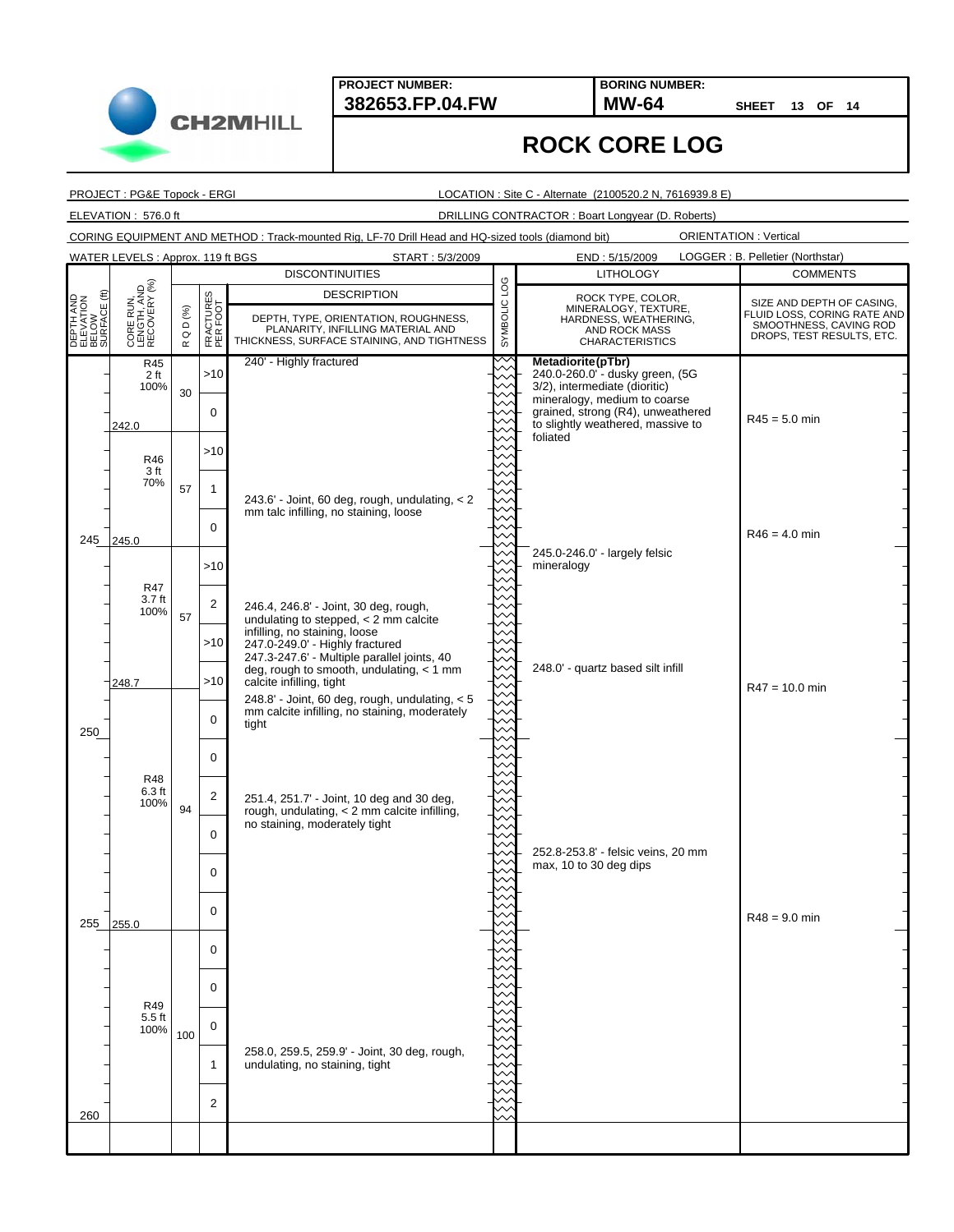START: 5/3/2009

**382653.FP.04.FW MW-64 BORING NUMBER:**

**SHEET 13 OF 14**

## **ROCK CORE LOG**

PROJECT : PG&E Topock - ERGI

WATER LEVELS : Approx. 119 ft BGS

LOCATION : Site C - Alternate (2100520.2 N, 7616939.8 E)

ELEVATION : 576.0 ft DRILLING CONTRACTOR : Boart Longyear (D. Roberts)

CORING EQUIPMENT AND METHOD : Track-mounted Rig, LF-70 Drill Head and HQ-sized tools (diamond bit)

|                                                                     | CORE RUN,<br>LENGTH, AND<br>RECOVERY (%)                             | <b>DISCONTINUITIES</b>       |                                |                                                                                                                                                                                                                          |                       | <b>LITHOLOGY</b>                                                                                                                                                                               | <b>COMMENTS</b>                                                                                                 |
|---------------------------------------------------------------------|----------------------------------------------------------------------|------------------------------|--------------------------------|--------------------------------------------------------------------------------------------------------------------------------------------------------------------------------------------------------------------------|-----------------------|------------------------------------------------------------------------------------------------------------------------------------------------------------------------------------------------|-----------------------------------------------------------------------------------------------------------------|
| EPTH AND<br>LEVATION<br>ELOW<br>JRFACE (ft)<br><b>BERS</b><br>RESSE |                                                                      | D (%)<br>$\circ$<br>$\simeq$ | CTURES<br>1 FOOT<br>FRA<br>PER | <b>DESCRIPTION</b><br>DEPTH, TYPE, ORIENTATION, ROUGHNESS,<br>PLANARITY, INFILLING MATERIAL AND<br>THICKNESS, SURFACE STAINING, AND TIGHTNESS                                                                            | <b>DO</b><br>SYMBOLIC | ROCK TYPE, COLOR,<br>MINERALOGY, TEXTURE,<br>HARDNESS, WEATHERING,<br>AND ROCK MASS<br><b>CHARACTERISTICS</b>                                                                                  | SIZE AND DEPTH OF CASING,<br>FLUID LOSS, CORING RATE AND<br>SMOOTHNESS, CAVING ROD<br>DROPS, TEST RESULTS, ETC. |
|                                                                     | R45<br>2 ft<br>100%<br>242.0                                         | 30                           | $>10$<br>$\mathbf 0$           | 240' - Highly fractured                                                                                                                                                                                                  |                       | Metadiorite(pTbr)<br>240.0-260.0"- dusky green, (5G<br>3/2), intermediate (dioritic)<br>mineralogy, medium to coarse<br>grained, strong (R4), unweathered<br>to slightly weathered, massive to | $R45 = 5.0$ min                                                                                                 |
| 245 245.0                                                           | R46<br>3 ft<br>70%                                                   |                              | >10                            | 243.6' - Joint, 60 deg, rough, undulating, < 2<br>mm talc infilling, no staining, loose                                                                                                                                  |                       | foliated                                                                                                                                                                                       |                                                                                                                 |
|                                                                     |                                                                      | 57                           | $\mathbf{1}$<br>0              |                                                                                                                                                                                                                          |                       |                                                                                                                                                                                                | $R46 = 4.0$ min                                                                                                 |
|                                                                     | R47<br>3.7 <sub>ft</sub><br>100%<br>248.7<br>R48<br>$6.3$ ft<br>100% |                              | $>10$                          |                                                                                                                                                                                                                          |                       | 245.0-246.0' - largely felsic<br>mineralogy                                                                                                                                                    |                                                                                                                 |
|                                                                     |                                                                      | 57                           | $\overline{c}$<br>>10          | 246.4, 246.8' - Joint, 30 deg, rough,<br>undulating to stepped, < 2 mm calcite<br>infilling, no staining, loose<br>247.0-249.0' - Highly fractured                                                                       |                       |                                                                                                                                                                                                |                                                                                                                 |
|                                                                     |                                                                      |                              | >10                            | 247.3-247.6' - Multiple parallel joints, 40<br>deg, rough to smooth, undulating, $<$ 1 mm<br>calcite infilling, tight<br>248.8' - Joint, 60 deg, rough, undulating, < 5<br>mm calcite infilling, no staining, moderately |                       | 248.0' - quartz based silt infill                                                                                                                                                              | $R47 = 10.0$ min                                                                                                |
| 250                                                                 |                                                                      |                              | $\Omega$<br>0                  | tight                                                                                                                                                                                                                    |                       |                                                                                                                                                                                                |                                                                                                                 |
|                                                                     |                                                                      | 94                           | $\overline{c}$                 | 251.4, 251.7' - Joint, 10 deg and 30 deg,<br>rough, undulating, < 2 mm calcite infilling,<br>no staining, moderately tight                                                                                               |                       |                                                                                                                                                                                                |                                                                                                                 |
|                                                                     |                                                                      |                              | $\Omega$<br>0                  |                                                                                                                                                                                                                          |                       | 252.8-253.8' - felsic veins, 20 mm<br>max, 10 to 30 deg dips                                                                                                                                   |                                                                                                                 |
| 255                                                                 | 255.0                                                                |                              | $\mathbf 0$                    |                                                                                                                                                                                                                          |                       |                                                                                                                                                                                                | $R48 = 9.0$ min                                                                                                 |
|                                                                     | R49<br>$5.5$ ft<br>100%                                              |                              | 0<br>$\Omega$                  |                                                                                                                                                                                                                          |                       |                                                                                                                                                                                                |                                                                                                                 |
|                                                                     |                                                                      | 100                          | 0                              | 258.0, 259.5, 259.9' - Joint, 30 deg, rough,                                                                                                                                                                             |                       |                                                                                                                                                                                                |                                                                                                                 |
| 260                                                                 |                                                                      |                              | $\mathbf{1}$<br>2              | undulating, no staining, tight                                                                                                                                                                                           |                       |                                                                                                                                                                                                |                                                                                                                 |
|                                                                     |                                                                      |                              |                                |                                                                                                                                                                                                                          |                       |                                                                                                                                                                                                |                                                                                                                 |